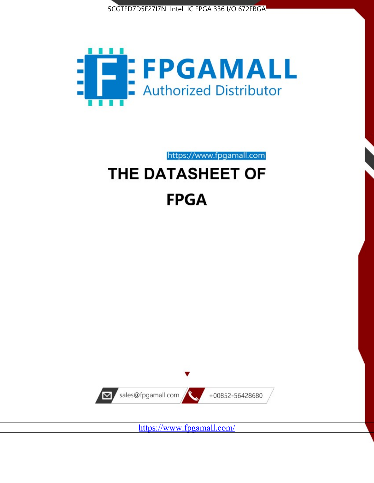



https://www.fpgamall.com

# THE DATASHEET OF **FPGA**



<https://www.fpgamall.com/>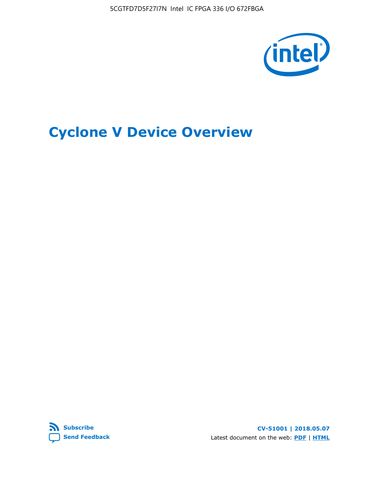5CGTFD7D5F27I7N Intel IC FPGA 336 I/O 672FBGA



# **Cyclone V Device Overview**



**CV-51001 | 2018.05.07** Latest document on the web: **[PDF](https://www.altera.com/en_US/pdfs/literature/hb/cyclone-v/cv_51001.pdf)** | **[HTML](https://www.altera.com/documentation/sam1403480548153.html)**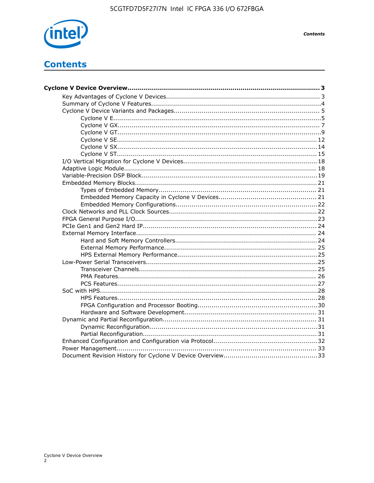

**Contents** 

# **Contents**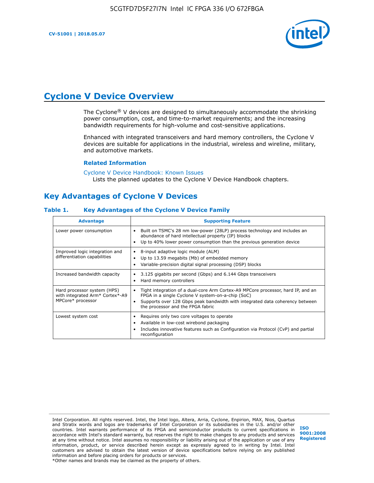

# **Cyclone V Device Overview**

The Cyclone® V devices are designed to simultaneously accommodate the shrinking power consumption, cost, and time-to-market requirements; and the increasing bandwidth requirements for high-volume and cost-sensitive applications.

Enhanced with integrated transceivers and hard memory controllers, the Cyclone V devices are suitable for applications in the industrial, wireless and wireline, military, and automotive markets.

#### **Related Information**

#### [Cyclone V Device Handbook: Known Issues](https://www.altera.com/support/support-resources/knowledge-base/solutions/rd12152011_347.html) Lists the planned updates to the Cyclone V Device Handbook chapters.

### **Key Advantages of Cyclone V Devices**

### **Table 1. Key Advantages of the Cyclone V Device Family**

| <b>Advantage</b>                                                                    | <b>Supporting Feature</b>                                                                                                                                                                                                                                                    |
|-------------------------------------------------------------------------------------|------------------------------------------------------------------------------------------------------------------------------------------------------------------------------------------------------------------------------------------------------------------------------|
| Lower power consumption                                                             | Built on TSMC's 28 nm low-power (28LP) process technology and includes an<br>٠<br>abundance of hard intellectual property (IP) blocks<br>Up to 40% lower power consumption than the previous generation device<br>٠                                                          |
| Improved logic integration and<br>differentiation capabilities                      | 8-input adaptive logic module (ALM)<br>٠<br>Up to 13.59 megabits (Mb) of embedded memory<br>٠<br>Variable-precision digital signal processing (DSP) blocks<br>٠                                                                                                              |
| Increased bandwidth capacity                                                        | 3.125 gigabits per second (Gbps) and 6.144 Gbps transceivers<br>٠<br>Hard memory controllers<br>٠                                                                                                                                                                            |
| Hard processor system (HPS)<br>with integrated Arm* Cortex*-A9<br>MPCore* processor | Tight integration of a dual-core Arm Cortex-A9 MPCore processor, hard IP, and an<br>$\bullet$<br>FPGA in a single Cyclone V system-on-a-chip (SoC)<br>Supports over 128 Gbps peak bandwidth with integrated data coherency between<br>٠<br>the processor and the FPGA fabric |
| Lowest system cost                                                                  | Requires only two core voltages to operate<br>٠<br>Available in low-cost wirebond packaging<br>٠<br>Includes innovative features such as Configuration via Protocol (CvP) and partial<br>٠<br>reconfiguration                                                                |

Intel Corporation. All rights reserved. Intel, the Intel logo, Altera, Arria, Cyclone, Enpirion, MAX, Nios, Quartus and Stratix words and logos are trademarks of Intel Corporation or its subsidiaries in the U.S. and/or other countries. Intel warrants performance of its FPGA and semiconductor products to current specifications in accordance with Intel's standard warranty, but reserves the right to make changes to any products and services at any time without notice. Intel assumes no responsibility or liability arising out of the application or use of any information, product, or service described herein except as expressly agreed to in writing by Intel. Intel customers are advised to obtain the latest version of device specifications before relying on any published information and before placing orders for products or services. \*Other names and brands may be claimed as the property of others.

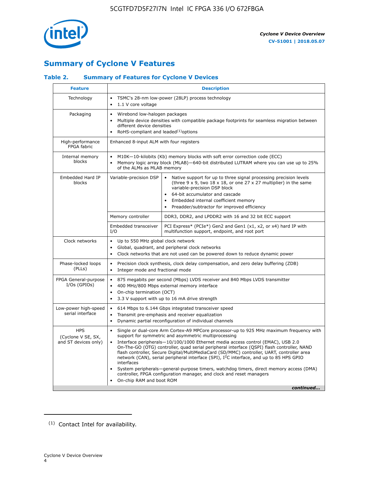

## **Summary of Cyclone V Features**

### **Table 2. Summary of Features for Cyclone V Devices**

| <b>Feature</b>                                           | <b>Description</b>                                                                                                                                                                                                                                                                                                                        |                                                                                                                                                                                                                                                                                                                                                                                                                                                                                                                                                                                                                                                                                                         |  |  |  |  |  |  |
|----------------------------------------------------------|-------------------------------------------------------------------------------------------------------------------------------------------------------------------------------------------------------------------------------------------------------------------------------------------------------------------------------------------|---------------------------------------------------------------------------------------------------------------------------------------------------------------------------------------------------------------------------------------------------------------------------------------------------------------------------------------------------------------------------------------------------------------------------------------------------------------------------------------------------------------------------------------------------------------------------------------------------------------------------------------------------------------------------------------------------------|--|--|--|--|--|--|
| Technology                                               | $\bullet$<br>1.1 V core voltage<br>$\bullet$                                                                                                                                                                                                                                                                                              | TSMC's 28-nm low-power (28LP) process technology                                                                                                                                                                                                                                                                                                                                                                                                                                                                                                                                                                                                                                                        |  |  |  |  |  |  |
| Packaging                                                | $\bullet$                                                                                                                                                                                                                                                                                                                                 | Wirebond low-halogen packages<br>Multiple device densities with compatible package footprints for seamless migration between<br>different device densities<br>RoHS-compliant and leaded $(1)$ options                                                                                                                                                                                                                                                                                                                                                                                                                                                                                                   |  |  |  |  |  |  |
| High-performance<br>FPGA fabric                          | Enhanced 8-input ALM with four registers                                                                                                                                                                                                                                                                                                  |                                                                                                                                                                                                                                                                                                                                                                                                                                                                                                                                                                                                                                                                                                         |  |  |  |  |  |  |
| Internal memory<br>blocks                                | of the ALMs as MLAB memory                                                                                                                                                                                                                                                                                                                | M10K-10-kilobits (Kb) memory blocks with soft error correction code (ECC)<br>Memory logic array block (MLAB)-640-bit distributed LUTRAM where you can use up to 25%                                                                                                                                                                                                                                                                                                                                                                                                                                                                                                                                     |  |  |  |  |  |  |
| Embedded Hard IP<br>blocks                               | Variable-precision DSP<br>Native support for up to three signal processing precision levels<br>(three $9 \times 9$ , two $18 \times 18$ , or one 27 x 27 multiplier) in the same<br>variable-precision DSP block<br>64-bit accumulator and cascade<br>Embedded internal coefficient memory<br>Preadder/subtractor for improved efficiency |                                                                                                                                                                                                                                                                                                                                                                                                                                                                                                                                                                                                                                                                                                         |  |  |  |  |  |  |
|                                                          | Memory controller                                                                                                                                                                                                                                                                                                                         | DDR3, DDR2, and LPDDR2 with 16 and 32 bit ECC support                                                                                                                                                                                                                                                                                                                                                                                                                                                                                                                                                                                                                                                   |  |  |  |  |  |  |
|                                                          | Embedded transceiver<br>I/O                                                                                                                                                                                                                                                                                                               | PCI Express* (PCIe*) Gen2 and Gen1 (x1, x2, or x4) hard IP with<br>multifunction support, endpoint, and root port                                                                                                                                                                                                                                                                                                                                                                                                                                                                                                                                                                                       |  |  |  |  |  |  |
| Clock networks                                           | Up to 550 MHz global clock network<br>$\bullet$<br>$\bullet$                                                                                                                                                                                                                                                                              | Global, quadrant, and peripheral clock networks<br>Clock networks that are not used can be powered down to reduce dynamic power                                                                                                                                                                                                                                                                                                                                                                                                                                                                                                                                                                         |  |  |  |  |  |  |
| Phase-locked loops<br>(PLLs)                             | $\bullet$<br>Integer mode and fractional mode<br>$\bullet$                                                                                                                                                                                                                                                                                | Precision clock synthesis, clock delay compensation, and zero delay buffering (ZDB)                                                                                                                                                                                                                                                                                                                                                                                                                                                                                                                                                                                                                     |  |  |  |  |  |  |
| FPGA General-purpose<br>$I/Os$ (GPIOs)                   | $\bullet$<br>$\bullet$<br>On-chip termination (OCT)<br>$\bullet$                                                                                                                                                                                                                                                                          | 875 megabits per second (Mbps) LVDS receiver and 840 Mbps LVDS transmitter<br>400 MHz/800 Mbps external memory interface<br>3.3 V support with up to 16 mA drive strength                                                                                                                                                                                                                                                                                                                                                                                                                                                                                                                               |  |  |  |  |  |  |
| Low-power high-speed<br>serial interface                 | $\bullet$<br>$\bullet$<br>$\bullet$                                                                                                                                                                                                                                                                                                       | 614 Mbps to 6.144 Gbps integrated transceiver speed<br>Transmit pre-emphasis and receiver equalization<br>Dynamic partial reconfiguration of individual channels                                                                                                                                                                                                                                                                                                                                                                                                                                                                                                                                        |  |  |  |  |  |  |
| <b>HPS</b><br>(Cyclone V SE, SX,<br>and ST devices only) | $\bullet$<br>$\bullet$<br>interfaces<br>On-chip RAM and boot ROM                                                                                                                                                                                                                                                                          | Single or dual-core Arm Cortex-A9 MPCore processor-up to 925 MHz maximum frequency with<br>support for symmetric and asymmetric multiprocessing<br>Interface peripherals-10/100/1000 Ethernet media access control (EMAC), USB 2.0<br>On-The-GO (OTG) controller, quad serial peripheral interface (QSPI) flash controller, NAND<br>flash controller, Secure Digital/MultiMediaCard (SD/MMC) controller, UART, controller area<br>network (CAN), serial peripheral interface (SPI), I <sup>2</sup> C interface, and up to 85 HPS GPIO<br>System peripherals—general-purpose timers, watchdog timers, direct memory access (DMA)<br>controller, FPGA configuration manager, and clock and reset managers |  |  |  |  |  |  |
|                                                          |                                                                                                                                                                                                                                                                                                                                           | continued                                                                                                                                                                                                                                                                                                                                                                                                                                                                                                                                                                                                                                                                                               |  |  |  |  |  |  |

<sup>(1)</sup> Contact Intel for availability.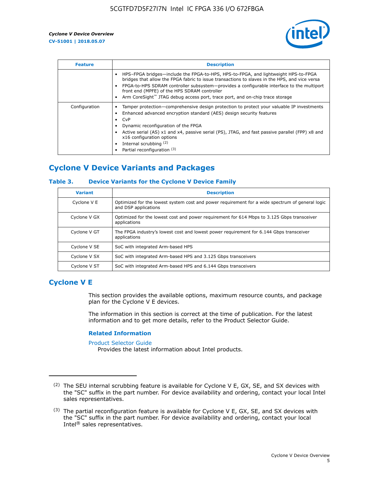

| <b>Feature</b> | <b>Description</b>                                                                                                                                                                                                                                                                                                                                                                                                           |
|----------------|------------------------------------------------------------------------------------------------------------------------------------------------------------------------------------------------------------------------------------------------------------------------------------------------------------------------------------------------------------------------------------------------------------------------------|
|                | HPS-FPGA bridges—include the FPGA-to-HPS, HPS-to-FPGA, and lightweight HPS-to-FPGA<br>bridges that allow the FPGA fabric to issue transactions to slaves in the HPS, and vice versa<br>FPGA-to-HPS SDRAM controller subsystem-provides a configurable interface to the multiport<br>front end (MPFE) of the HPS SDRAM controller<br>Arm CoreSight <sup>™</sup> JTAG debug access port, trace port, and on-chip trace storage |
| Configuration  | Tamper protection—comprehensive design protection to protect your valuable IP investments<br>Enhanced advanced encryption standard (AES) design security features<br>CvP<br>$\bullet$<br>Dynamic reconfiguration of the FPGA<br>Active serial (AS) x1 and x4, passive serial (PS), JTAG, and fast passive parallel (FPP) x8 and<br>x16 configuration options<br>Internal scrubbing (2)<br>Partial reconfiguration (3)        |

### **Cyclone V Device Variants and Packages**

### **Table 3. Device Variants for the Cyclone V Device Family**

| <b>Variant</b> | <b>Description</b>                                                                                                      |
|----------------|-------------------------------------------------------------------------------------------------------------------------|
| Cyclone V E    | Optimized for the lowest system cost and power requirement for a wide spectrum of general logic<br>and DSP applications |
| Cyclone V GX   | Optimized for the lowest cost and power requirement for 614 Mbps to 3.125 Gbps transceiver<br>applications              |
| Cyclone V GT   | The FPGA industry's lowest cost and lowest power requirement for 6.144 Gbps transceiver<br>applications                 |
| Cyclone V SE   | SoC with integrated Arm-based HPS                                                                                       |
| Cyclone V SX   | SoC with integrated Arm-based HPS and 3.125 Gbps transceivers                                                           |
| Cyclone V ST   | SoC with integrated Arm-based HPS and 6.144 Gbps transceivers                                                           |

### **Cyclone V E**

This section provides the available options, maximum resource counts, and package plan for the Cyclone V E devices.

The information in this section is correct at the time of publication. For the latest information and to get more details, refer to the Product Selector Guide.

#### **Related Information**

[Product Selector Guide](https://www.altera.com/products/product-selector-guide.html)

Provides the latest information about Intel products.

<sup>(2)</sup> The SEU internal scrubbing feature is available for Cyclone V E, GX, SE, and SX devices with the "SC" suffix in the part number. For device availability and ordering, contact your local Intel sales representatives.

 $(3)$  The partial reconfiguration feature is available for Cyclone V E, GX, SE, and SX devices with the "SC" suffix in the part number. For device availability and ordering, contact your local Intel® sales representatives.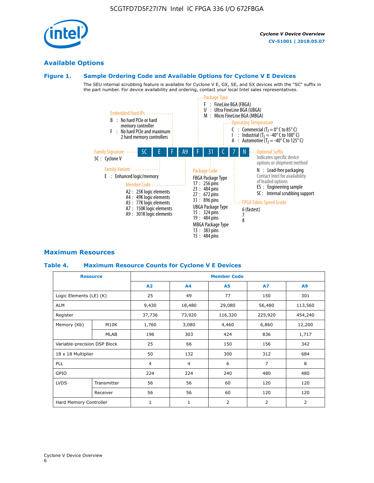

### **Available Options**

### **Figure 1. Sample Ordering Code and Available Options for Cyclone V E Devices**

The SEU internal scrubbing feature is available for Cyclone V E, GX, SE, and SX devices with the "SC" suffix in the part number. For device availability and ordering, contact your local Intel sales representatives.



### **Maximum Resources**

#### **Table 4. Maximum Resource Counts for Cyclone V E Devices**

|                              | <b>Resource</b> | <b>Member Code</b> |                |                |                |         |  |  |
|------------------------------|-----------------|--------------------|----------------|----------------|----------------|---------|--|--|
|                              |                 | A2                 | A4             | <b>A5</b>      | <b>A7</b>      | A9      |  |  |
| Logic Elements (LE) (K)      |                 | 25                 | 49             | 77             | 150            | 301     |  |  |
| <b>ALM</b>                   |                 | 9,430              | 18,480         | 29,080         | 56,480         | 113,560 |  |  |
| Register                     |                 | 37,736             | 73,920         | 116,320        | 225,920        | 454,240 |  |  |
| Memory (Kb)                  | M10K            | 1,760              | 3,080          | 4,460          | 6,860          | 12,200  |  |  |
|                              | <b>MLAB</b>     | 196                | 303            | 424            | 836            | 1,717   |  |  |
| Variable-precision DSP Block |                 | 25                 | 66             | 150            | 156            | 342     |  |  |
| 18 x 18 Multiplier           |                 | 50                 | 132            | 300            | 312            | 684     |  |  |
| <b>PLL</b>                   |                 | 4                  | $\overline{4}$ | 6              | $\overline{7}$ | 8       |  |  |
| GPIO                         |                 | 224                | 224            | 240            | 480            | 480     |  |  |
| <b>LVDS</b>                  | Transmitter     | 56                 | 56             | 60             | 120            | 120     |  |  |
|                              | Receiver        | 56                 | 56             | 60             | 120            | 120     |  |  |
| Hard Memory Controller       |                 | $\mathbf{1}$       | $\mathbf{1}$   | $\overline{2}$ | $\overline{2}$ | 2       |  |  |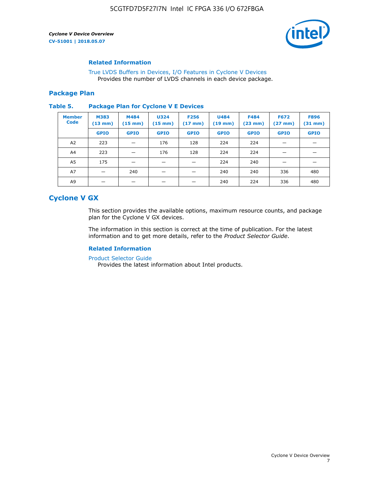

### **Related Information**

[True LVDS Buffers in Devices, I/O Features in Cyclone V Devices](https://www.altera.com/documentation/sam1403481100977.html#sam1403480885395) Provides the number of LVDS channels in each device package.

### **Package Plan**

#### **Table 5. Package Plan for Cyclone V E Devices**

| <b>Member</b><br><b>Code</b> | <b>M383</b><br>$(13 \text{ mm})$ | M484<br>$(15 \text{ mm})$ | <b>U324</b><br>$(15 \text{ mm})$ | <b>F256</b><br>$(17 \text{ mm})$ | <b>U484</b><br>$(19$ mm) | <b>F484</b><br>$(23$ mm $)$ | <b>F672</b><br>$(27 \, \text{mm})$ | <b>F896</b><br>$(31$ mm $)$ |
|------------------------------|----------------------------------|---------------------------|----------------------------------|----------------------------------|--------------------------|-----------------------------|------------------------------------|-----------------------------|
|                              | <b>GPIO</b>                      | <b>GPIO</b>               | <b>GPIO</b>                      | <b>GPIO</b>                      | <b>GPIO</b>              | <b>GPIO</b>                 | <b>GPIO</b>                        | <b>GPIO</b>                 |
| A2                           | 223                              |                           | 176                              | 128                              | 224                      | 224                         | –                                  |                             |
| A4                           | 223                              |                           | 176                              | 128                              | 224                      | 224                         | –                                  |                             |
| A5                           | 175                              |                           |                                  |                                  | 224                      | 240                         |                                    |                             |
| A7                           |                                  | 240                       |                                  |                                  | 240                      | 240                         | 336                                | 480                         |
| A9                           |                                  |                           |                                  |                                  | 240                      | 224                         | 336                                | 480                         |

### **Cyclone V GX**

This section provides the available options, maximum resource counts, and package plan for the Cyclone V GX devices.

The information in this section is correct at the time of publication. For the latest information and to get more details, refer to the *Product Selector Guide*.

### **Related Information**

[Product Selector Guide](https://www.altera.com/products/product-selector-guide.html)

Provides the latest information about Intel products.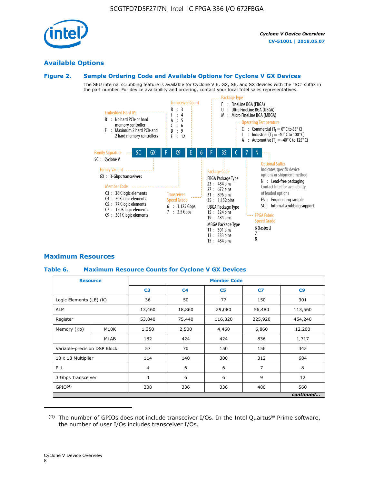

### **Available Options**

### **Figure 2. Sample Ordering Code and Available Options for Cyclone V GX Devices**

The SEU internal scrubbing feature is available for Cyclone V E, GX, SE, and SX devices with the "SC" suffix in the part number. For device availability and ordering, contact your local Intel sales representatives.



### **Maximum Resources**

### **Table 6. Maximum Resource Counts for Cyclone V GX Devices**

|                              | <b>Resource</b>   |                | <b>Member Code</b> |                |         |           |   |   |  |
|------------------------------|-------------------|----------------|--------------------|----------------|---------|-----------|---|---|--|
|                              |                   | C <sub>3</sub> | C <sub>4</sub>     | C <sub>5</sub> | C7      | C9        |   |   |  |
| Logic Elements (LE) (K)      |                   | 36             | 50                 | 77             | 150     | 301       |   |   |  |
| <b>ALM</b>                   |                   | 13,460         | 18,860             | 29,080         | 56,480  | 113,560   |   |   |  |
| Register                     |                   |                | 75,440             | 116,320        | 225,920 | 454,240   |   |   |  |
| Memory (Kb)                  | M <sub>10</sub> K | 1,350          | 2,500              | 4,460          | 6,860   | 12,200    |   |   |  |
|                              | <b>MLAB</b>       | 182            | 424                | 424            | 836     | 1,717     |   |   |  |
| Variable-precision DSP Block |                   | 57             | 70                 | 150            | 156     | 342       |   |   |  |
| 18 x 18 Multiplier           |                   | 114            | 140                | 300            | 312     | 684       |   |   |  |
| <b>PLL</b>                   |                   |                |                    |                | 6       | 6         | 7 | 8 |  |
| 3 Gbps Transceiver           |                   | 3              | 6                  | 6              | 9       | 12        |   |   |  |
| GPIO <sup>(4)</sup>          |                   | 208            | 336                | 336            | 480     | 560       |   |   |  |
|                              |                   |                |                    |                |         | continued |   |   |  |

 $(4)$  The number of GPIOs does not include transceiver I/Os. In the Intel Quartus® Prime software, the number of user I/Os includes transceiver I/Os.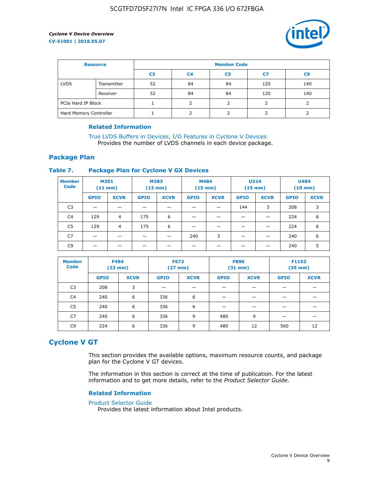

| <b>Resource</b>        |             | <b>Member Code</b> |                |    |     |                |  |  |
|------------------------|-------------|--------------------|----------------|----|-----|----------------|--|--|
|                        |             | C <sub>3</sub>     | C <sub>4</sub> | C5 | C7  | C <sub>9</sub> |  |  |
| <b>LVDS</b>            | Transmitter | 52                 | 84             | 84 | 120 | 140            |  |  |
|                        | Receiver    | 52                 | 84             | 84 | 120 | 140            |  |  |
| PCIe Hard IP Block     |             |                    |                |    |     |                |  |  |
| Hard Memory Controller |             |                    |                |    |     |                |  |  |

### **Related Information**

[True LVDS Buffers in Devices, I/O Features in Cyclone V Devices](https://www.altera.com/documentation/sam1403481100977.html#sam1403480885395) Provides the number of LVDS channels in each device package.

### **Package Plan**

### **Table 7. Package Plan for Cyclone V GX Devices**

| <b>Member</b><br><b>Code</b> | <b>M301</b><br>$(11$ mm) |                | <b>M383</b><br>$(13 \text{ mm})$ |             | M484        | $(15 \text{ mm})$ | <b>U324</b><br>$(15 \text{ mm})$ |             | <b>U484</b><br>$(19$ mm) |             |
|------------------------------|--------------------------|----------------|----------------------------------|-------------|-------------|-------------------|----------------------------------|-------------|--------------------------|-------------|
|                              | <b>GPIO</b>              | <b>XCVR</b>    | <b>GPIO</b>                      | <b>XCVR</b> | <b>GPIO</b> | <b>XCVR</b>       | <b>GPIO</b>                      | <b>XCVR</b> | <b>GPIO</b>              | <b>XCVR</b> |
| C <sub>3</sub>               |                          |                |                                  |             |             |                   | 144                              | 3           | 208                      | 3           |
| C <sub>4</sub>               | 129                      | $\overline{4}$ | 175                              | 6           |             |                   | –                                |             | 224                      | 6           |
| C5                           | 129                      | 4              | 175                              | 6           |             |                   |                                  |             | 224                      | 6           |
| C7                           | _                        |                |                                  |             | 240         | 3                 |                                  |             | 240                      | 6           |
| C9                           |                          |                |                                  |             |             |                   |                                  |             | 240                      | 5           |

| <b>Member</b><br><b>Code</b> | <b>F484</b> | $(23$ mm)   | <b>F672</b> | $(27$ mm $)$ | <b>F896</b><br>$(31 \text{ mm})$ |             | F1152<br>$(35 \text{ mm})$ |             |
|------------------------------|-------------|-------------|-------------|--------------|----------------------------------|-------------|----------------------------|-------------|
|                              | <b>GPIO</b> | <b>XCVR</b> | <b>GPIO</b> | <b>XCVR</b>  | <b>GPIO</b>                      | <b>XCVR</b> | <b>GPIO</b>                | <b>XCVR</b> |
| C <sub>3</sub>               | 208         | 3           |             |              |                                  |             |                            |             |
| C4                           | 240         | 6           | 336         | 6            |                                  |             |                            |             |
| C5                           | 240         | 6           | 336         | 6            |                                  |             |                            |             |
| C <sub>7</sub>               | 240         | 6           | 336         | 9            | 480                              | 9           |                            |             |
| C9                           | 224         | 6           | 336         | 9            | 480                              | 12          | 560                        | 12          |

### **Cyclone V GT**

This section provides the available options, maximum resource counts, and package plan for the Cyclone V GT devices.

The information in this section is correct at the time of publication. For the latest information and to get more details, refer to the *Product Selector Guide*.

#### **Related Information**

#### [Product Selector Guide](https://www.altera.com/products/product-selector-guide.html)

Provides the latest information about Intel products.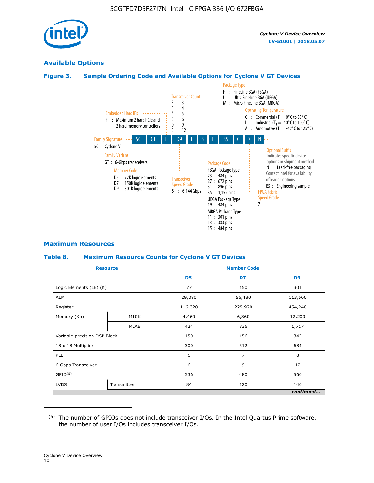

### **Available Options**

### **Figure 3. Sample Ordering Code and Available Options for Cyclone V GT Devices**



### **Maximum Resources**

#### **Table 8. Maximum Resource Counts for Cyclone V GT Devices**

|                              | <b>Resource</b> | <b>Member Code</b> |                |                |  |  |
|------------------------------|-----------------|--------------------|----------------|----------------|--|--|
|                              |                 | D <sub>5</sub>     | D7             | D <sub>9</sub> |  |  |
| Logic Elements (LE) (K)      |                 | 77                 | 150            | 301            |  |  |
| <b>ALM</b>                   |                 | 29,080             | 56,480         | 113,560        |  |  |
| Register                     |                 | 116,320            | 225,920        | 454,240        |  |  |
| Memory (Kb)                  | M10K            | 4,460              | 6,860          | 12,200         |  |  |
|                              | MLAB            | 424                | 836            | 1,717          |  |  |
| Variable-precision DSP Block |                 | 150                | 156            | 342            |  |  |
| 18 x 18 Multiplier           |                 | 300                | 312            | 684            |  |  |
| PLL                          |                 | 6                  | $\overline{7}$ | 8              |  |  |
| 6 Gbps Transceiver           |                 | 6                  | 9              | 12             |  |  |
| GPIO <sup>(5)</sup>          |                 | 336                | 480            | 560            |  |  |
| <b>LVDS</b>                  | Transmitter     | 84                 | 120            | 140            |  |  |
|                              |                 |                    |                | continued      |  |  |

<sup>(5)</sup> The number of GPIOs does not include transceiver I/Os. In the Intel Quartus Prime software, the number of user I/Os includes transceiver I/Os.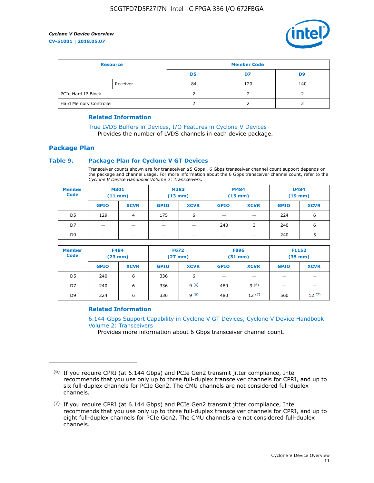

| <b>Resource</b>        |          | <b>Member Code</b> |     |     |  |  |
|------------------------|----------|--------------------|-----|-----|--|--|
|                        |          | D5                 | D7  | D9  |  |  |
|                        | Receiver | 84                 | 120 | 140 |  |  |
| PCIe Hard IP Block     |          |                    |     |     |  |  |
| Hard Memory Controller |          |                    |     |     |  |  |

### **Related Information**

[True LVDS Buffers in Devices, I/O Features in Cyclone V Devices](https://www.altera.com/documentation/sam1403481100977.html#sam1403480885395) Provides the number of LVDS channels in each device package.

### **Package Plan**

### **Table 9. Package Plan for Cyclone V GT Devices**

Transceiver counts shown are for transceiver ≤5 Gbps . 6 Gbps transceiver channel count support depends on the package and channel usage. For more information about the 6 Gbps transceiver channel count, refer to the *Cyclone V Device Handbook Volume 2: Transceivers*.

| <b>Member</b><br><b>Code</b> | <b>M301</b><br>(11 mm)   |                | M383<br>$(13 \text{ mm})$ |             | M484<br>$(15 \text{ mm})$ |             | <b>U484</b><br>$(19$ mm) |             |
|------------------------------|--------------------------|----------------|---------------------------|-------------|---------------------------|-------------|--------------------------|-------------|
|                              | <b>GPIO</b>              | <b>XCVR</b>    | <b>GPIO</b>               | <b>XCVR</b> | <b>GPIO</b>               | <b>XCVR</b> | <b>GPIO</b>              | <b>XCVR</b> |
| D <sub>5</sub>               | 129                      | $\overline{4}$ | 175                       | 6           | -                         | -           | 224                      | 6           |
| D7                           | -                        | -              |                           |             | 240                       | 3           | 240                      | 6           |
| D <sub>9</sub>               | $\overline{\phantom{0}}$ | _              |                           |             | -                         |             | 240                      | 5           |

| <b>Member</b><br><b>Code</b> | <b>F484</b><br>$(23 \text{ mm})$ |             | <b>F672</b><br>$(27 \text{ mm})$ |             | <b>F896</b><br>$(31$ mm $)$ |             | F1152<br>$(35 \text{ mm})$ |             |
|------------------------------|----------------------------------|-------------|----------------------------------|-------------|-----------------------------|-------------|----------------------------|-------------|
|                              | <b>GPIO</b>                      | <b>XCVR</b> | <b>GPIO</b>                      | <b>XCVR</b> | <b>GPIO</b>                 | <b>XCVR</b> | <b>GPIO</b>                | <b>XCVR</b> |
| D <sub>5</sub>               | 240                              | 6           | 336                              | 6           | -                           |             | _                          |             |
| D7                           | 240                              | 6           | 336                              | q(6)        | 480                         | q(6)        | $\overline{\phantom{0}}$   | -           |
| D <sub>9</sub>               | 224                              | 6           | 336                              | 9(6)        | 480                         | 12(7)       | 560                        | 12(7)       |

### **Related Information**

[6.144-Gbps Support Capability in Cyclone V GT Devices, Cyclone V Device Handbook](https://www.altera.com/documentation/nik1409855456781.html#nik1409855410757) [Volume 2: Transceivers](https://www.altera.com/documentation/nik1409855456781.html#nik1409855410757)

Provides more information about 6 Gbps transceiver channel count.

<sup>(6)</sup> If you require CPRI (at 6.144 Gbps) and PCIe Gen2 transmit jitter compliance, Intel recommends that you use only up to three full-duplex transceiver channels for CPRI, and up to six full-duplex channels for PCIe Gen2. The CMU channels are not considered full-duplex channels.

 $(7)$  If you require CPRI (at 6.144 Gbps) and PCIe Gen2 transmit jitter compliance, Intel recommends that you use only up to three full-duplex transceiver channels for CPRI, and up to eight full-duplex channels for PCIe Gen2. The CMU channels are not considered full-duplex channels.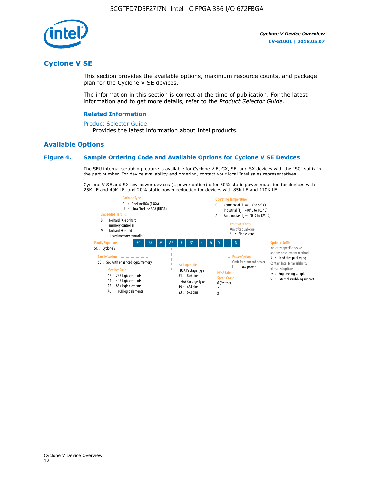

### **Cyclone V SE**

This section provides the available options, maximum resource counts, and package plan for the Cyclone V SE devices.

The information in this section is correct at the time of publication. For the latest information and to get more details, refer to the *Product Selector Guide*.

### **Related Information**

#### [Product Selector Guide](https://www.altera.com/products/product-selector-guide.html)

Provides the latest information about Intel products.

### **Available Options**

### **Figure 4. Sample Ordering Code and Available Options for Cyclone V SE Devices**

The SEU internal scrubbing feature is available for Cyclone V E, GX, SE, and SX devices with the "SC" suffix in the part number. For device availability and ordering, contact your local Intel sales representatives.

Cyclone V SE and SX low-power devices (L power option) offer 30% static power reduction for devices with 25K LE and 40K LE, and 20% static power reduction for devices with 85K LE and 110K LE.

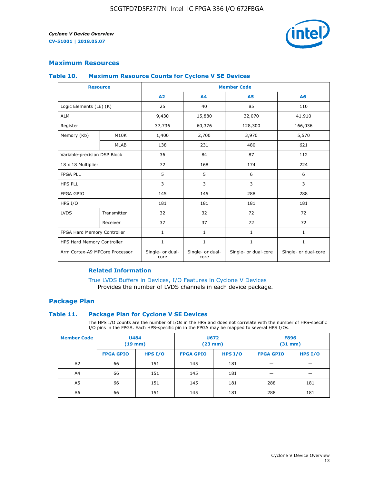

### **Maximum Resources**

### **Table 10. Maximum Resource Counts for Cyclone V SE Devices**

|                                | <b>Resource</b>              | <b>Member Code</b>       |                          |                      |                      |  |
|--------------------------------|------------------------------|--------------------------|--------------------------|----------------------|----------------------|--|
|                                |                              | A2                       | A4                       | <b>A5</b>            | A6                   |  |
| Logic Elements (LE) (K)        |                              | 25                       | 40                       | 85                   | 110                  |  |
| <b>ALM</b>                     |                              | 9,430                    | 15,880                   | 32,070               | 41,910               |  |
| Register                       |                              | 37,736                   | 60,376                   | 128,300              | 166,036              |  |
| Memory (Kb)                    | M10K                         | 1,400                    | 2,700                    | 3,970                | 5,570                |  |
|                                | <b>MLAB</b>                  | 138                      | 231                      | 480                  | 621                  |  |
|                                | Variable-precision DSP Block |                          | 84                       | 87                   | 112                  |  |
| 18 x 18 Multiplier             |                              | 72                       | 168                      | 174                  | 224                  |  |
| <b>FPGA PLL</b>                |                              | 5                        | 5                        | 6                    | 6                    |  |
| <b>HPS PLL</b>                 |                              | 3                        | 3                        | 3                    | 3                    |  |
| <b>FPGA GPIO</b>               |                              | 145                      | 145                      | 288                  | 288                  |  |
| HPS I/O                        |                              | 181                      | 181                      | 181                  | 181                  |  |
| <b>LVDS</b>                    | Transmitter                  | 32                       | 32                       | 72                   | 72                   |  |
|                                | Receiver                     | 37                       | 37                       | 72                   | 72                   |  |
| FPGA Hard Memory Controller    |                              | 1                        | $\mathbf{1}$             | $\mathbf{1}$         | $\mathbf{1}$         |  |
| HPS Hard Memory Controller     |                              | 1                        | $\mathbf{1}$             | $\mathbf{1}$         | 1                    |  |
| Arm Cortex-A9 MPCore Processor |                              | Single- or dual-<br>core | Single- or dual-<br>core | Single- or dual-core | Single- or dual-core |  |

### **Related Information**

[True LVDS Buffers in Devices, I/O Features in Cyclone V Devices](https://www.altera.com/documentation/sam1403481100977.html#sam1403480885395) Provides the number of LVDS channels in each device package.

### **Package Plan**

### **Table 11. Package Plan for Cyclone V SE Devices**

The HPS I/O counts are the number of I/Os in the HPS and does not correlate with the number of HPS-specific I/O pins in the FPGA. Each HPS-specific pin in the FPGA may be mapped to several HPS I/Os.

| <b>Member Code</b> | <b>U484</b><br>$(19$ mm) |           | <b>U672</b><br>(23 mm) |           | <b>F896</b><br>$(31$ mm $)$ |         |
|--------------------|--------------------------|-----------|------------------------|-----------|-----------------------------|---------|
|                    | <b>FPGA GPIO</b>         | HPS $I/O$ | <b>FPGA GPIO</b>       | HPS $I/O$ | <b>FPGA GPIO</b>            | HPS I/O |
| A <sub>2</sub>     | 66                       | 151       | 145                    | 181       |                             |         |
| A4                 | 66                       | 151       | 145                    | 181       |                             |         |
| A <sub>5</sub>     | 66                       | 151       | 145                    | 181       | 288                         | 181     |
| A6                 | 66                       | 151       | 145                    | 181       | 288                         | 181     |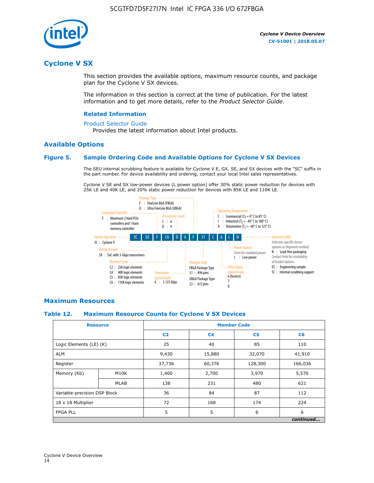

### **Cyclone V SX**

This section provides the available options, maximum resource counts, and package plan for the Cyclone V SX devices.

The information in this section is correct at the time of publication. For the latest information and to get more details, refer to the *Product Selector Guide*.

### **Related Information**

#### [Product Selector Guide](https://www.altera.com/products/product-selector-guide.html)

Provides the latest information about Intel products.

### **Available Options**

### **Figure 5. Sample Ordering Code and Available Options for Cyclone V SX Devices**

The SEU internal scrubbing feature is available for Cyclone V E, GX, SE, and SX devices with the "SC" suffix in the part number. For device availability and ordering, contact your local Intel sales representatives.

Cyclone V SE and SX low-power devices (L power option) offer 30% static power reduction for devices with 25K LE and 40K LE, and 20% static power reduction for devices with 85K LE and 110K LE.



### **Maximum Resources**

#### **Table 12. Maximum Resource Counts for Cyclone V SX Devices**

|                              | <b>Resource</b> | <b>Member Code</b> |                |                |           |  |
|------------------------------|-----------------|--------------------|----------------|----------------|-----------|--|
|                              |                 | C <sub>2</sub>     | C <sub>4</sub> | C <sub>5</sub> | C6        |  |
| Logic Elements (LE) (K)      |                 | 25                 | 40             | 85             | 110       |  |
| <b>ALM</b>                   |                 | 9,430              | 15,880         | 32,070         | 41,910    |  |
| Register                     |                 | 37,736             | 60,376         | 128,300        | 166,036   |  |
| Memory (Kb)                  | M10K            | 1,400              | 2,700          | 3,970          | 5,570     |  |
|                              | <b>MLAB</b>     | 138                | 231            | 480            | 621       |  |
| Variable-precision DSP Block |                 | 36                 | 84             | 87             | 112       |  |
| 18 x 18 Multiplier           |                 | 72                 | 168            | 174            | 224       |  |
| <b>FPGA PLL</b>              |                 | 5                  | 5              | 6              | 6         |  |
|                              |                 |                    |                |                | continued |  |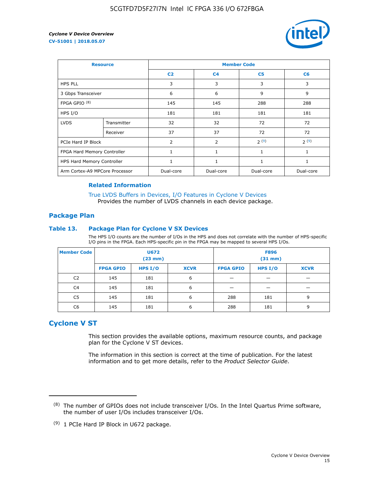

| <b>Resource</b>                |             | <b>Member Code</b> |                |                |                |  |  |
|--------------------------------|-------------|--------------------|----------------|----------------|----------------|--|--|
|                                |             | C <sub>2</sub>     | C <sub>4</sub> | C <sub>5</sub> | C <sub>6</sub> |  |  |
| <b>HPS PLL</b>                 |             | 3                  | 3              | 3              | 3              |  |  |
| 3 Gbps Transceiver             |             | 6                  | 6              | 9              | 9              |  |  |
| FPGA GPIO $(8)$                |             | 145                | 145            | 288            | 288            |  |  |
| HPS I/O                        |             | 181                | 181            | 181            | 181            |  |  |
| <b>LVDS</b>                    | Transmitter | 32                 | 32             | 72             | 72             |  |  |
|                                | Receiver    | 37                 | 37             | 72             | 72             |  |  |
| PCIe Hard IP Block             |             | $\overline{2}$     | $\overline{2}$ | 2(9)           | 2(9)           |  |  |
| FPGA Hard Memory Controller    |             | 1                  | $\mathbf{1}$   | $\mathbf{1}$   | $\mathbf{1}$   |  |  |
| HPS Hard Memory Controller     |             | $\mathbf{1}$       | $\mathbf{1}$   | $\mathbf{1}$   | 1              |  |  |
| Arm Cortex-A9 MPCore Processor |             | Dual-core          | Dual-core      | Dual-core      | Dual-core      |  |  |

### **Related Information**

[True LVDS Buffers in Devices, I/O Features in Cyclone V Devices](https://www.altera.com/documentation/sam1403481100977.html#sam1403480885395) Provides the number of LVDS channels in each device package.

### **Package Plan**

### **Table 13. Package Plan for Cyclone V SX Devices**

The HPS I/O counts are the number of I/Os in the HPS and does not correlate with the number of HPS-specific I/O pins in the FPGA. Each HPS-specific pin in the FPGA may be mapped to several HPS I/Os.

| <b>Member Code</b> | U672<br>(23 mm)  |           | <b>F896</b><br>$(31$ mm $)$ |                  |         |             |
|--------------------|------------------|-----------|-----------------------------|------------------|---------|-------------|
|                    | <b>FPGA GPIO</b> | HPS $I/O$ | <b>XCVR</b>                 | <b>FPGA GPIO</b> | HPS I/O | <b>XCVR</b> |
| C <sub>2</sub>     | 145              | 181       | 6                           |                  |         |             |
| C4                 | 145              | 181       | 6                           |                  |         |             |
| C <sub>5</sub>     | 145              | 181       | 6                           | 288              | 181     | 9           |
| C6                 | 145              | 181       | 6                           | 288              | 181     | 9           |

### **Cyclone V ST**

This section provides the available options, maximum resource counts, and package plan for the Cyclone V ST devices.

The information in this section is correct at the time of publication. For the latest information and to get more details, refer to the *Product Selector Guide*.

 $(8)$  The number of GPIOs does not include transceiver I/Os. In the Intel Quartus Prime software, the number of user I/Os includes transceiver I/Os.

<sup>(9)</sup> 1 PCIe Hard IP Block in U672 package.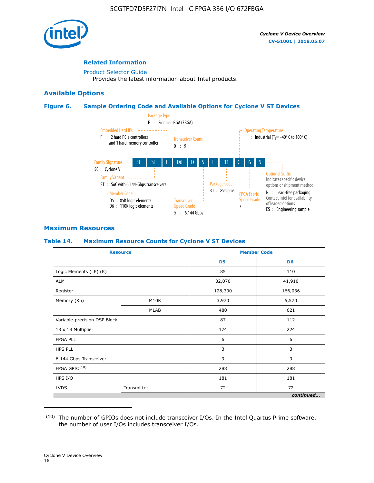

### **Related Information**

[Product Selector Guide](https://www.altera.com/products/product-selector-guide.html) Provides the latest information about Intel products.

### **Available Options**

### **Figure 6. Sample Ordering Code and Available Options for Cyclone V ST Devices**



### **Maximum Resources**

### **Table 14. Maximum Resource Counts for Cyclone V ST Devices**

| <b>Resource</b>              |             |                | <b>Member Code</b> |
|------------------------------|-------------|----------------|--------------------|
|                              |             | D <sub>5</sub> | D <sub>6</sub>     |
| Logic Elements (LE) (K)      |             | 85             | 110                |
| <b>ALM</b>                   |             | 32,070         | 41,910             |
| Register                     |             | 128,300        | 166,036            |
| Memory (Kb)                  | M10K        | 3,970          | 5,570              |
|                              | <b>MLAB</b> | 480            | 621                |
| Variable-precision DSP Block |             | 87             | 112                |
| 18 x 18 Multiplier           |             | 174            | 224                |
| <b>FPGA PLL</b>              |             | 6              | 6                  |
| <b>HPS PLL</b>               |             | 3              | 3                  |
| 6.144 Gbps Transceiver       |             | 9              | 9                  |
| FPGA GPIO(10)                |             | 288            | 288                |
| HPS I/O                      |             | 181            | 181                |
| <b>LVDS</b><br>Transmitter   |             | 72             | 72                 |
|                              |             |                | continued          |

<sup>(10)</sup> The number of GPIOs does not include transceiver I/Os. In the Intel Quartus Prime software, the number of user I/Os includes transceiver I/Os.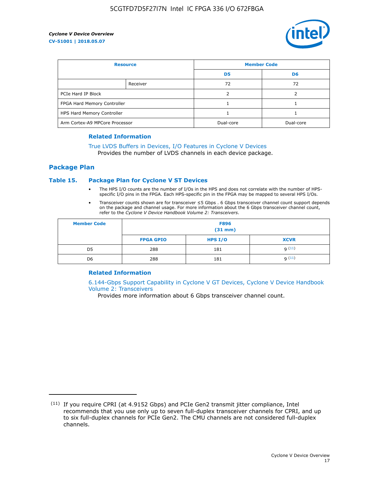

| <b>Resource</b>                |          | <b>Member Code</b> |                |  |
|--------------------------------|----------|--------------------|----------------|--|
|                                |          | D <sub>5</sub>     | D <sub>6</sub> |  |
|                                | Receiver | 72                 | 72             |  |
| PCIe Hard IP Block             |          |                    |                |  |
| FPGA Hard Memory Controller    |          |                    |                |  |
| HPS Hard Memory Controller     |          |                    |                |  |
| Arm Cortex-A9 MPCore Processor |          | Dual-core          | Dual-core      |  |

#### **Related Information**

### [True LVDS Buffers in Devices, I/O Features in Cyclone V Devices](https://www.altera.com/documentation/sam1403481100977.html#sam1403480885395)

Provides the number of LVDS channels in each device package.

### **Package Plan**

### **Table 15. Package Plan for Cyclone V ST Devices**

- The HPS I/O counts are the number of I/Os in the HPS and does not correlate with the number of HPSspecific I/O pins in the FPGA. Each HPS-specific pin in the FPGA may be mapped to several HPS I/Os.
- Transceiver counts shown are for transceiver ≤5 Gbps . 6 Gbps transceiver channel count support depends on the package and channel usage. For more information about the 6 Gbps transceiver channel count, refer to the *Cyclone V Device Handbook Volume 2: Transceivers*.

| <b>Member Code</b> | <b>F896</b><br>$(31$ mm $)$ |           |             |  |  |
|--------------------|-----------------------------|-----------|-------------|--|--|
|                    | <b>FPGA GPIO</b>            | HPS $I/O$ | <b>XCVR</b> |  |  |
| D <sub>5</sub>     | 288                         | 181       | 9(11)       |  |  |
| D <sub>6</sub>     | 288                         | 181       | q(11)       |  |  |

### **Related Information**

[6.144-Gbps Support Capability in Cyclone V GT Devices, Cyclone V Device Handbook](https://www.altera.com/documentation/nik1409855456781.html#nik1409855410757) [Volume 2: Transceivers](https://www.altera.com/documentation/nik1409855456781.html#nik1409855410757)

Provides more information about 6 Gbps transceiver channel count.

<sup>(11)</sup> If you require CPRI (at 4.9152 Gbps) and PCIe Gen2 transmit jitter compliance, Intel recommends that you use only up to seven full-duplex transceiver channels for CPRI, and up to six full-duplex channels for PCIe Gen2. The CMU channels are not considered full-duplex channels.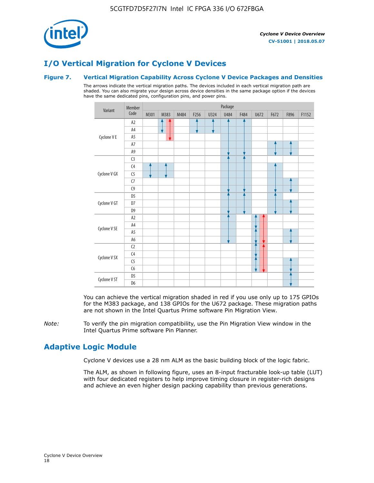

## **I/O Vertical Migration for Cyclone V Devices**

### **Figure 7. Vertical Migration Capability Across Cyclone V Device Packages and Densities**

The arrows indicate the vertical migration paths. The devices included in each vertical migration path are shaded. You can also migrate your design across device densities in the same package option if the devices have the same dedicated pins, configuration pins, and power pins.



You can achieve the vertical migration shaded in red if you use only up to 175 GPIOs for the M383 package, and 138 GPIOs for the U672 package. These migration paths are not shown in the Intel Quartus Prime software Pin Migration View.

*Note:* To verify the pin migration compatibility, use the Pin Migration View window in the Intel Quartus Prime software Pin Planner.

### **Adaptive Logic Module**

Cyclone V devices use a 28 nm ALM as the basic building block of the logic fabric.

The ALM, as shown in following figure, uses an 8-input fracturable look-up table (LUT) with four dedicated registers to help improve timing closure in register-rich designs and achieve an even higher design packing capability than previous generations.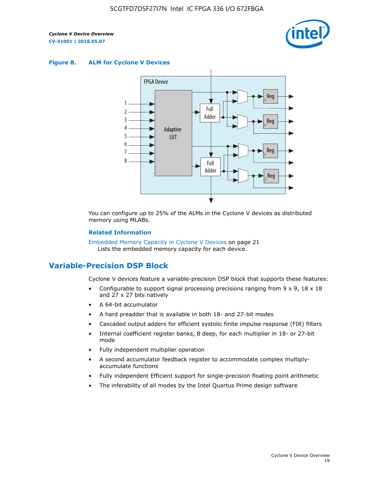

#### **Figure 8. ALM for Cyclone V Devices**



You can configure up to 25% of the ALMs in the Cyclone V devices as distributed memory using MLABs.

### **Related Information**

Embedded Memory Capacity in Cyclone V Devices on page 21 Lists the embedded memory capacity for each device.

### **Variable-Precision DSP Block**

Cyclone V devices feature a variable-precision DSP block that supports these features:

- Configurable to support signal processing precisions ranging from  $9 \times 9$ ,  $18 \times 18$ and 27 x 27 bits natively
- A 64-bit accumulator
- A hard preadder that is available in both 18- and 27-bit modes
- Cascaded output adders for efficient systolic finite impulse response (FIR) filters
- Internal coefficient register banks, 8 deep, for each multiplier in 18- or 27-bit mode
- Fully independent multiplier operation
- A second accumulator feedback register to accommodate complex multiplyaccumulate functions
- Fully independent Efficient support for single-precision floating point arithmetic
- The inferability of all modes by the Intel Quartus Prime design software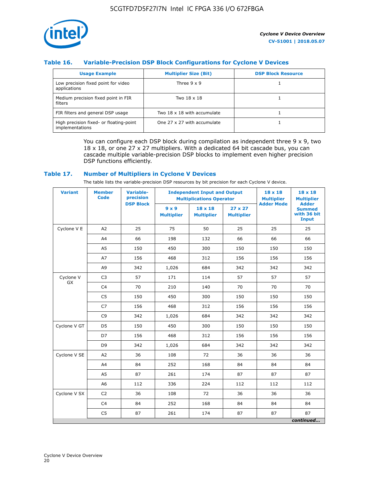

### **Table 16. Variable-Precision DSP Block Configurations for Cyclone V Devices**

| <b>Usage Example</b>                                       | <b>Multiplier Size (Bit)</b> | <b>DSP Block Resource</b> |
|------------------------------------------------------------|------------------------------|---------------------------|
| Low precision fixed point for video<br>applications        | Three $9 \times 9$           |                           |
| Medium precision fixed point in FIR<br>filters             | Two 18 x 18                  |                           |
| FIR filters and general DSP usage                          | Two 18 x 18 with accumulate  |                           |
| High precision fixed- or floating-point<br>implementations | One 27 x 27 with accumulate  |                           |

You can configure each DSP block during compilation as independent three  $9 \times 9$ , two 18 x 18, or one 27 x 27 multipliers. With a dedicated 64 bit cascade bus, you can cascade multiple variable-precision DSP blocks to implement even higher precision DSP functions efficiently.

### **Table 17. Number of Multipliers in Cyclone V Devices**

The table lists the variable-precision DSP resources by bit precision for each Cyclone V device.

| <b>Variant</b>         | <b>Member</b><br><b>Code</b> | <b>Variable-</b><br>precision | <b>Independent Input and Output</b><br><b>Multiplications Operator</b> |                                     |                                     | $18 \times 18$<br><b>Multiplier</b> | $18 \times 18$<br><b>Multiplier</b>                          |
|------------------------|------------------------------|-------------------------------|------------------------------------------------------------------------|-------------------------------------|-------------------------------------|-------------------------------------|--------------------------------------------------------------|
|                        |                              | <b>DSP Block</b>              | $9 \times 9$<br><b>Multiplier</b>                                      | $18 \times 18$<br><b>Multiplier</b> | $27 \times 27$<br><b>Multiplier</b> | <b>Adder Mode</b>                   | <b>Adder</b><br><b>Summed</b><br>with 36 bit<br><b>Input</b> |
| Cyclone V E            | A2                           | 25                            | 75                                                                     | 50                                  | 25                                  | 25                                  | 25                                                           |
|                        | A4                           | 66                            | 198                                                                    | 132                                 | 66                                  | 66                                  | 66                                                           |
|                        | A <sub>5</sub>               | 150                           | 450                                                                    | 300                                 | 150                                 | 150                                 | 150                                                          |
|                        | A7                           | 156                           | 468                                                                    | 312                                 | 156                                 | 156                                 | 156                                                          |
|                        | A <sub>9</sub>               | 342                           | 1,026                                                                  | 684                                 | 342                                 | 342                                 | 342                                                          |
| Cyclone V<br><b>GX</b> | C <sub>3</sub>               | 57                            | 171                                                                    | 114                                 | 57                                  | 57                                  | 57                                                           |
|                        | C <sub>4</sub>               | 70                            | 210                                                                    | 140                                 | 70                                  | 70                                  | 70                                                           |
|                        | C <sub>5</sub>               | 150                           | 450                                                                    | 300                                 | 150                                 | 150                                 | 150                                                          |
|                        | C <sub>7</sub>               | 156                           | 468                                                                    | 312                                 | 156                                 | 156                                 | 156                                                          |
|                        | C <sub>9</sub>               | 342                           | 1,026                                                                  | 684                                 | 342                                 | 342                                 | 342                                                          |
| Cyclone V GT           | D <sub>5</sub>               | 150                           | 450                                                                    | 300                                 | 150                                 | 150                                 | 150                                                          |
|                        | D7                           | 156                           | 468                                                                    | 312                                 | 156                                 | 156                                 | 156                                                          |
|                        | D <sub>9</sub>               | 342                           | 1,026                                                                  | 684                                 | 342                                 | 342                                 | 342                                                          |
| Cyclone V SE           | A <sub>2</sub>               | 36                            | 108                                                                    | 72                                  | 36                                  | 36                                  | 36                                                           |
|                        | A4                           | 84                            | 252                                                                    | 168                                 | 84                                  | 84                                  | 84                                                           |
|                        | A5                           | 87                            | 261                                                                    | 174                                 | 87                                  | 87                                  | 87                                                           |
|                        | A <sub>6</sub>               | 112                           | 336                                                                    | 224                                 | 112                                 | 112                                 | 112                                                          |
| Cyclone V SX           | C <sub>2</sub>               | 36                            | 108                                                                    | 72                                  | 36                                  | 36                                  | 36                                                           |
|                        | C <sub>4</sub>               | 84                            | 252                                                                    | 168                                 | 84                                  | 84                                  | 84                                                           |
|                        | C <sub>5</sub>               | 87                            | 261                                                                    | 174                                 | 87                                  | 87                                  | 87                                                           |
|                        |                              |                               |                                                                        |                                     |                                     |                                     | continued                                                    |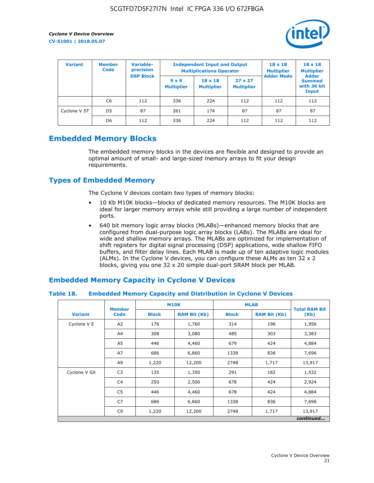

| <b>Variant</b> | <b>Variable-</b><br><b>Member</b><br>precision<br><b>Code</b> |                  | <b>Independent Input and Output</b><br><b>Multiplications Operator</b> | $18 \times 18$<br><b>Multiplier</b> | $18 \times 18$<br><b>Multiplier</b><br><b>Adder</b> |                   |                                       |
|----------------|---------------------------------------------------------------|------------------|------------------------------------------------------------------------|-------------------------------------|-----------------------------------------------------|-------------------|---------------------------------------|
|                |                                                               | <b>DSP Block</b> | $9 \times 9$<br><b>Multiplier</b>                                      | $18 \times 18$<br><b>Multiplier</b> | $27 \times 27$<br><b>Multiplier</b>                 | <b>Adder Mode</b> | <b>Summed</b><br>with 36 bit<br>Input |
|                | C6                                                            | 112              | 336                                                                    | 224                                 | 112                                                 | 112               | 112                                   |
| Cyclone V ST   | D <sub>5</sub>                                                | 87               | 261                                                                    | 174                                 | 87                                                  | 87                | 87                                    |
|                | D <sub>6</sub>                                                | 112              | 336                                                                    | 224                                 | 112                                                 | 112               | 112                                   |

### **Embedded Memory Blocks**

The embedded memory blocks in the devices are flexible and designed to provide an optimal amount of small- and large-sized memory arrays to fit your design requirements.

### **Types of Embedded Memory**

The Cyclone V devices contain two types of memory blocks:

- 10 Kb M10K blocks—blocks of dedicated memory resources. The M10K blocks are ideal for larger memory arrays while still providing a large number of independent ports.
- 640 bit memory logic array blocks (MLABs)—enhanced memory blocks that are configured from dual-purpose logic array blocks (LABs). The MLABs are ideal for wide and shallow memory arrays. The MLABs are optimized for implementation of shift registers for digital signal processing (DSP) applications, wide shallow FIFO buffers, and filter delay lines. Each MLAB is made up of ten adaptive logic modules (ALMs). In the Cyclone V devices, you can configure these ALMs as ten 32 x 2 blocks, giving you one 32 x 20 simple dual-port SRAM block per MLAB.

### **Embedded Memory Capacity in Cyclone V Devices**

### **Table 18. Embedded Memory Capacity and Distribution in Cyclone V Devices**

|                | <b>Member</b>  | <b>M10K</b>  |                     | <b>MLAB</b>  | <b>Total RAM Bit</b> |        |  |  |  |
|----------------|----------------|--------------|---------------------|--------------|----------------------|--------|--|--|--|
| <b>Variant</b> | <b>Code</b>    | <b>Block</b> | <b>RAM Bit (Kb)</b> | <b>Block</b> | <b>RAM Bit (Kb)</b>  | (Kb)   |  |  |  |
| Cyclone V E    | A2             | 176          | 1,760               | 314          | 196                  | 1,956  |  |  |  |
|                | A4             | 308          | 3,080               | 485          | 303                  | 3,383  |  |  |  |
|                | A5             | 446          | 4,460               | 679          | 424                  | 4,884  |  |  |  |
|                | A7             | 686          | 6,860               | 1338         | 836                  | 7,696  |  |  |  |
|                | A9             | 1,220        | 12,200              | 2748         | 1,717                | 13,917 |  |  |  |
| Cyclone V GX   | C <sub>3</sub> | 135          | 1,350               | 291          | 182                  | 1,532  |  |  |  |
|                | C4             | 250          | 2,500               | 678          | 424                  | 2,924  |  |  |  |
|                | C5             | 446          | 4,460               | 678          | 424                  | 4,884  |  |  |  |
|                | C7             | 686          | 6,860               | 1338         | 836                  | 7,696  |  |  |  |
|                | C <sub>9</sub> | 1,220        | 12,200              | 2748         | 1,717                | 13,917 |  |  |  |
|                | continued      |              |                     |              |                      |        |  |  |  |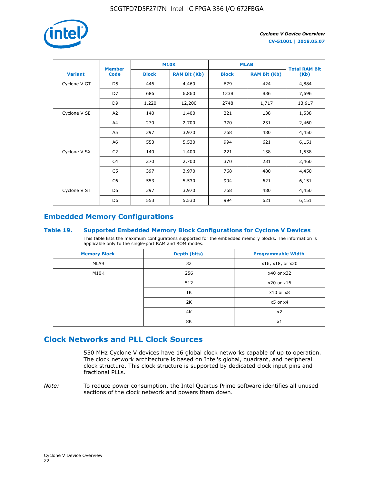

|                | <b>Member</b>  | <b>M10K</b>  |                     | <b>MLAB</b>  | <b>Total RAM Bit</b> |        |
|----------------|----------------|--------------|---------------------|--------------|----------------------|--------|
| <b>Variant</b> | <b>Code</b>    | <b>Block</b> | <b>RAM Bit (Kb)</b> | <b>Block</b> | <b>RAM Bit (Kb)</b>  | (Kb)   |
| Cyclone V GT   | D <sub>5</sub> | 446          | 4,460               | 679          | 424                  | 4,884  |
|                | D7             | 686          | 6,860               | 1338         | 836                  | 7,696  |
|                | D <sub>9</sub> | 1,220        | 12,200              | 2748         | 1,717                | 13,917 |
| Cyclone V SE   | A <sub>2</sub> | 140          | 1,400               | 221          | 138                  | 1,538  |
|                | A4             | 270          | 2,700               | 370          | 231                  | 2,460  |
|                | A5             | 397          | 3,970               | 768          | 480                  | 4,450  |
|                | A6             | 553          | 5,530               | 994          | 621                  | 6,151  |
| Cyclone V SX   | C <sub>2</sub> | 140          | 1,400               | 221          | 138                  | 1,538  |
|                | C <sub>4</sub> | 270          | 2,700               | 370          | 231                  | 2,460  |
|                | C5             | 397          | 3,970               | 768          | 480                  | 4,450  |
|                | C <sub>6</sub> | 553          | 5,530               | 994          | 621                  | 6,151  |
| Cyclone V ST   | D <sub>5</sub> | 397          | 3,970               | 768          | 480                  | 4,450  |
|                | D <sub>6</sub> | 553          | 5,530               | 994          | 621                  | 6,151  |

### **Embedded Memory Configurations**

### **Table 19. Supported Embedded Memory Block Configurations for Cyclone V Devices**

This table lists the maximum configurations supported for the embedded memory blocks. The information is applicable only to the single-port RAM and ROM modes.

| <b>Memory Block</b> | Depth (bits) | <b>Programmable Width</b> |
|---------------------|--------------|---------------------------|
| MLAB                | 32           | x16, x18, or x20          |
| M10K                | 256          | x40 or x32                |
|                     | 512          | x20 or x16                |
|                     | 1K           | $x10$ or $x8$             |
|                     | 2K           | $x5$ or $x4$              |
|                     | 4K           | x2                        |
|                     | 8K           | x1                        |

### **Clock Networks and PLL Clock Sources**

550 MHz Cyclone V devices have 16 global clock networks capable of up to operation. The clock network architecture is based on Intel's global, quadrant, and peripheral clock structure. This clock structure is supported by dedicated clock input pins and fractional PLLs.

*Note:* To reduce power consumption, the Intel Quartus Prime software identifies all unused sections of the clock network and powers them down.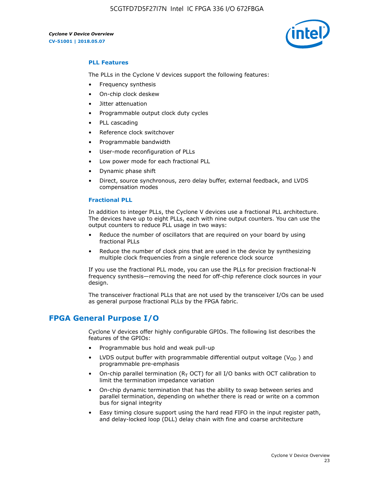

### **PLL Features**

The PLLs in the Cyclone V devices support the following features:

- Frequency synthesis
- On-chip clock deskew
- Jitter attenuation
- Programmable output clock duty cycles
- PLL cascading
- Reference clock switchover
- Programmable bandwidth
- User-mode reconfiguration of PLLs
- Low power mode for each fractional PLL
- Dynamic phase shift
- Direct, source synchronous, zero delay buffer, external feedback, and LVDS compensation modes

#### **Fractional PLL**

In addition to integer PLLs, the Cyclone V devices use a fractional PLL architecture. The devices have up to eight PLLs, each with nine output counters. You can use the output counters to reduce PLL usage in two ways:

- Reduce the number of oscillators that are required on your board by using fractional PLLs
- Reduce the number of clock pins that are used in the device by synthesizing multiple clock frequencies from a single reference clock source

If you use the fractional PLL mode, you can use the PLLs for precision fractional-N frequency synthesis—removing the need for off-chip reference clock sources in your design.

The transceiver fractional PLLs that are not used by the transceiver I/Os can be used as general purpose fractional PLLs by the FPGA fabric.

### **FPGA General Purpose I/O**

Cyclone V devices offer highly configurable GPIOs. The following list describes the features of the GPIOs:

- Programmable bus hold and weak pull-up
- LVDS output buffer with programmable differential output voltage ( $V_{OD}$ ) and programmable pre-emphasis
- On-chip parallel termination ( $R<sub>T</sub>$  OCT) for all I/O banks with OCT calibration to limit the termination impedance variation
- On-chip dynamic termination that has the ability to swap between series and parallel termination, depending on whether there is read or write on a common bus for signal integrity
- Easy timing closure support using the hard read FIFO in the input register path, and delay-locked loop (DLL) delay chain with fine and coarse architecture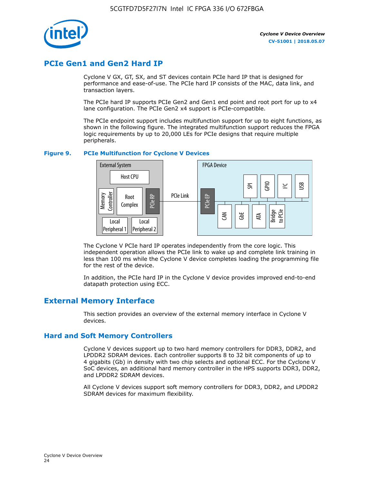

### **PCIe Gen1 and Gen2 Hard IP**

Cyclone V GX, GT, SX, and ST devices contain PCIe hard IP that is designed for performance and ease-of-use. The PCIe hard IP consists of the MAC, data link, and transaction layers.

The PCIe hard IP supports PCIe Gen2 and Gen1 end point and root port for up to x4 lane configuration. The PCIe Gen2 x4 support is PCIe-compatible.

The PCIe endpoint support includes multifunction support for up to eight functions, as shown in the following figure. The integrated multifunction support reduces the FPGA logic requirements by up to 20,000 LEs for PCIe designs that require multiple peripherals.

### **Figure 9. PCIe Multifunction for Cyclone V Devices**



The Cyclone V PCIe hard IP operates independently from the core logic. This independent operation allows the PCIe link to wake up and complete link training in less than 100 ms while the Cyclone V device completes loading the programming file for the rest of the device.

In addition, the PCIe hard IP in the Cyclone V device provides improved end-to-end datapath protection using ECC.

### **External Memory Interface**

This section provides an overview of the external memory interface in Cyclone V devices.

### **Hard and Soft Memory Controllers**

Cyclone V devices support up to two hard memory controllers for DDR3, DDR2, and LPDDR2 SDRAM devices. Each controller supports 8 to 32 bit components of up to 4 gigabits (Gb) in density with two chip selects and optional ECC. For the Cyclone V SoC devices, an additional hard memory controller in the HPS supports DDR3, DDR2, and LPDDR2 SDRAM devices.

All Cyclone V devices support soft memory controllers for DDR3, DDR2, and LPDDR2 SDRAM devices for maximum flexibility.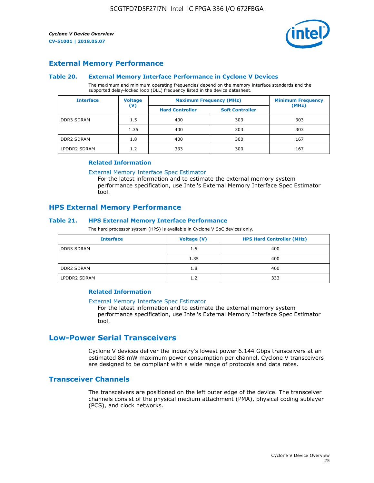

### **External Memory Performance**

### **Table 20. External Memory Interface Performance in Cyclone V Devices**

The maximum and minimum operating frequencies depend on the memory interface standards and the supported delay-locked loop (DLL) frequency listed in the device datasheet.

| <b>Interface</b>  | <b>Voltage</b> | <b>Maximum Frequency (MHz)</b> | <b>Minimum Frequency</b> |       |  |
|-------------------|----------------|--------------------------------|--------------------------|-------|--|
|                   | $(\mathsf{V})$ | <b>Hard Controller</b>         | <b>Soft Controller</b>   | (MHz) |  |
| <b>DDR3 SDRAM</b> | 1.5            | 400                            | 303                      | 303   |  |
|                   | 1.35           | 400                            | 303                      | 303   |  |
| <b>DDR2 SDRAM</b> | 1.8            | 400                            | 300                      | 167   |  |
| LPDDR2 SDRAM      | 1.2            | 333                            | 300                      | 167   |  |

### **Related Information**

[External Memory Interface Spec Estimator](https://www.altera.com/solutions/technology/external-memory/spec-estimator.html)

For the latest information and to estimate the external memory system performance specification, use Intel's External Memory Interface Spec Estimator tool.

### **HPS External Memory Performance**

### **Table 21. HPS External Memory Interface Performance**

The hard processor system (HPS) is available in Cyclone V SoC devices only.

| <b>Interface</b>  | <b>Voltage (V)</b> | <b>HPS Hard Controller (MHz)</b> |
|-------------------|--------------------|----------------------------------|
| DDR3 SDRAM        | 1.5                | 400                              |
|                   | 1.35               | 400                              |
| <b>DDR2 SDRAM</b> | 1.8                | 400                              |
| LPDDR2 SDRAM      | 1.2                | 333                              |

### **Related Information**

#### [External Memory Interface Spec Estimator](https://www.altera.com/solutions/technology/external-memory/spec-estimator.html)

For the latest information and to estimate the external memory system performance specification, use Intel's External Memory Interface Spec Estimator tool.

### **Low-Power Serial Transceivers**

Cyclone V devices deliver the industry's lowest power 6.144 Gbps transceivers at an estimated 88 mW maximum power consumption per channel. Cyclone V transceivers are designed to be compliant with a wide range of protocols and data rates.

### **Transceiver Channels**

The transceivers are positioned on the left outer edge of the device. The transceiver channels consist of the physical medium attachment (PMA), physical coding sublayer (PCS), and clock networks.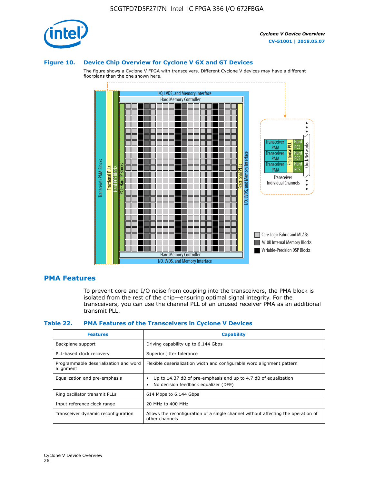

### **Figure 10. Device Chip Overview for Cyclone V GX and GT Devices**

The figure shows a Cyclone V FPGA with transceivers. Different Cyclone V devices may have a different floorplans than the one shown here.



### **PMA Features**

To prevent core and I/O noise from coupling into the transceivers, the PMA block is isolated from the rest of the chip—ensuring optimal signal integrity. For the transceivers, you can use the channel PLL of an unused receiver PMA as an additional transmit PLL.

#### **Table 22. PMA Features of the Transceivers in Cyclone V Devices**

| <b>Features</b>                                    | <b>Capability</b>                                                                                       |
|----------------------------------------------------|---------------------------------------------------------------------------------------------------------|
| Backplane support                                  | Driving capability up to 6.144 Gbps                                                                     |
| PLL-based clock recovery                           | Superior jitter tolerance                                                                               |
| Programmable deserialization and word<br>alignment | Flexible deserialization width and configurable word alignment pattern                                  |
| Equalization and pre-emphasis                      | Up to 14.37 dB of pre-emphasis and up to 4.7 dB of equalization<br>No decision feedback equalizer (DFE) |
| Ring oscillator transmit PLLs                      | 614 Mbps to 6.144 Gbps                                                                                  |
| Input reference clock range                        | 20 MHz to 400 MHz                                                                                       |
| Transceiver dynamic reconfiguration                | Allows the reconfiguration of a single channel without affecting the operation of<br>other channels     |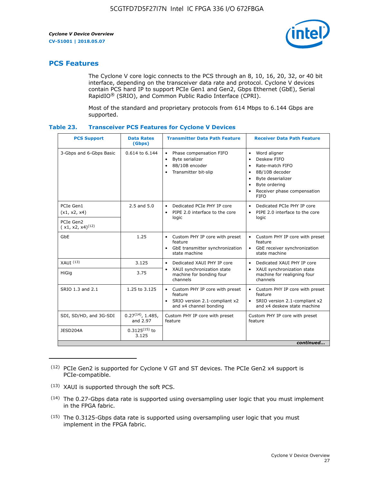

### **PCS Features**

The Cyclone V core logic connects to the PCS through an 8, 10, 16, 20, 32, or 40 bit interface, depending on the transceiver data rate and protocol. Cyclone V devices contain PCS hard IP to support PCIe Gen1 and Gen2, Gbps Ethernet (GbE), Serial RapidIO® (SRIO), and Common Public Radio Interface (CPRI).

Most of the standard and proprietary protocols from 614 Mbps to 6.144 Gbps are supported.

| Table 23. |  | <b>Transceiver PCS Features for Cyclone V Devices</b> |
|-----------|--|-------------------------------------------------------|
|           |  |                                                       |

| <b>PCS Support</b>                 | <b>Data Rates</b><br>(Gbps)        | <b>Transmitter Data Path Feature</b>                                                                         | <b>Receiver Data Path Feature</b>                                                                                                                                                                                                  |  |  |
|------------------------------------|------------------------------------|--------------------------------------------------------------------------------------------------------------|------------------------------------------------------------------------------------------------------------------------------------------------------------------------------------------------------------------------------------|--|--|
| 3-Gbps and 6-Gbps Basic            | 0.614 to 6.144                     | • Phase compensation FIFO<br>Byte serializer<br>8B/10B encoder<br>Transmitter bit-slip                       | Word aligner<br>$\bullet$<br>Deskew FIFO<br>$\bullet$<br>Rate-match FIFO<br>$\bullet$<br>8B/10B decoder<br>$\bullet$<br>Byte deserializer<br>$\bullet$<br>Byte ordering<br>$\bullet$<br>Receiver phase compensation<br><b>FIFO</b> |  |  |
| PCIe Gen1<br>(x1, x2, x4)          | $2.5$ and $5.0$                    | Dedicated PCIe PHY IP core<br>PIPE 2.0 interface to the core<br>$\bullet$<br>logic                           | Dedicated PCIe PHY IP core<br>$\bullet$<br>PIPE 2.0 interface to the core<br>$\bullet$<br>logic                                                                                                                                    |  |  |
| PCIe Gen2<br>$(x1, x2, x4)^{(12)}$ |                                    |                                                                                                              |                                                                                                                                                                                                                                    |  |  |
| GbE                                | 1.25                               | • Custom PHY IP core with preset<br>feature<br>GbE transmitter synchronization<br>$\bullet$<br>state machine | • Custom PHY IP core with preset<br>feature<br>GbE receiver synchronization<br>state machine                                                                                                                                       |  |  |
| $XAUI$ $(13)$                      | 3.125                              | Dedicated XAUI PHY IP core<br>$\bullet$                                                                      | Dedicated XAUI PHY IP core<br>$\bullet$                                                                                                                                                                                            |  |  |
| HiGig                              | 3.75                               | XAUI synchronization state<br>$\bullet$<br>machine for bonding four<br>channels                              | XAUI synchronization state<br>$\bullet$<br>machine for realigning four<br>channels                                                                                                                                                 |  |  |
| SRIO 1.3 and 2.1                   | 1.25 to 3.125                      | • Custom PHY IP core with preset<br>feature<br>• SRIO version 2.1-compliant x2<br>and x4 channel bonding     | • Custom PHY IP core with preset<br>feature<br>• SRIO version 2.1-compliant x2<br>and x4 deskew state machine                                                                                                                      |  |  |
| SDI, SD/HD, and 3G-SDI             | $0.27^{(14)}$ , 1.485,<br>and 2.97 | Custom PHY IP core with preset<br>feature                                                                    | Custom PHY IP core with preset<br>feature                                                                                                                                                                                          |  |  |
| JESD204A                           | $0.3125^{(15)}$ to<br>3.125        |                                                                                                              |                                                                                                                                                                                                                                    |  |  |
| continued                          |                                    |                                                                                                              |                                                                                                                                                                                                                                    |  |  |

<sup>(12)</sup> PCIe Gen2 is supported for Cyclone V GT and ST devices. The PCIe Gen2 x4 support is PCIe-compatible.

<sup>(13)</sup> XAUI is supported through the soft PCS.

<sup>(14)</sup> The 0.27-Gbps data rate is supported using oversampling user logic that you must implement in the FPGA fabric.

<sup>(15)</sup> The 0.3125-Gbps data rate is supported using oversampling user logic that you must implement in the FPGA fabric.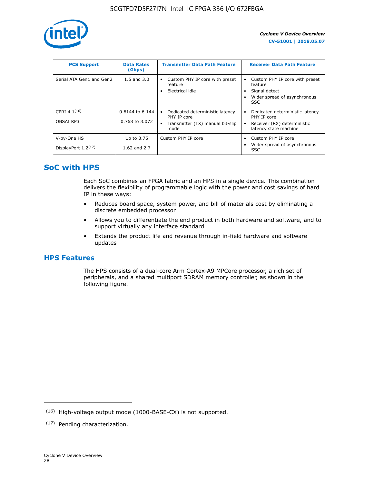

| <b>PCS Support</b>       | <b>Data Rates</b><br>(Gbps) | <b>Transmitter Data Path Feature</b>                         | <b>Receiver Data Path Feature</b>                                                                        |
|--------------------------|-----------------------------|--------------------------------------------------------------|----------------------------------------------------------------------------------------------------------|
| Serial ATA Gen1 and Gen2 | $1.5$ and $3.0$             | Custom PHY IP core with preset<br>feature<br>Electrical idle | Custom PHY IP core with preset<br>feature<br>Signal detect<br>Wider spread of asynchronous<br><b>SSC</b> |
| CPRI 4.1 $(16)$          | $0.6144$ to 6.144           | Dedicated deterministic latency<br>٠<br>PHY IP core          | Dedicated deterministic latency<br>PHY IP core                                                           |
| OBSAI RP3                | 0.768 to 3.072              | Transmitter (TX) manual bit-slip<br>٠<br>mode                | Receiver (RX) deterministic<br>latency state machine                                                     |
| V-by-One HS              | Up to 3.75                  | Custom PHY IP core                                           | Custom PHY IP core                                                                                       |
| DisplayPort $1.2^{(17)}$ | 1.62 and $2.7$              |                                                              | Wider spread of asynchronous<br><b>SSC</b>                                                               |

### **SoC with HPS**

Each SoC combines an FPGA fabric and an HPS in a single device. This combination delivers the flexibility of programmable logic with the power and cost savings of hard IP in these ways:

- Reduces board space, system power, and bill of materials cost by eliminating a discrete embedded processor
- Allows you to differentiate the end product in both hardware and software, and to support virtually any interface standard
- Extends the product life and revenue through in-field hardware and software updates

### **HPS Features**

The HPS consists of a dual-core Arm Cortex-A9 MPCore processor, a rich set of peripherals, and a shared multiport SDRAM memory controller, as shown in the following figure.

<sup>(16)</sup> High-voltage output mode (1000-BASE-CX) is not supported.

<sup>(17)</sup> Pending characterization.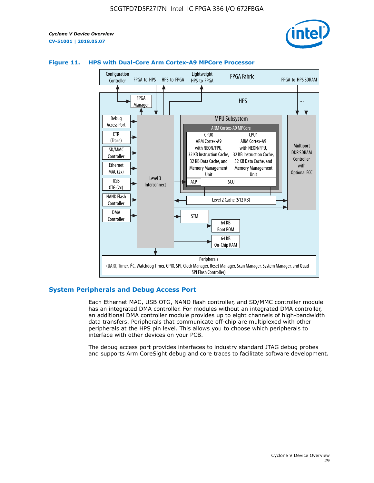



### **Figure 11. HPS with Dual-Core Arm Cortex-A9 MPCore Processor**

### **System Peripherals and Debug Access Port**

Each Ethernet MAC, USB OTG, NAND flash controller, and SD/MMC controller module has an integrated DMA controller. For modules without an integrated DMA controller, an additional DMA controller module provides up to eight channels of high-bandwidth data transfers. Peripherals that communicate off-chip are multiplexed with other peripherals at the HPS pin level. This allows you to choose which peripherals to interface with other devices on your PCB.

The debug access port provides interfaces to industry standard JTAG debug probes and supports Arm CoreSight debug and core traces to facilitate software development.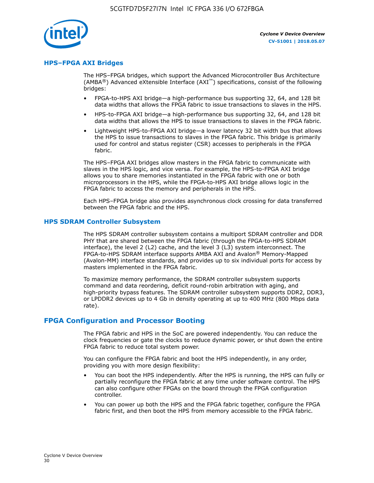

### **HPS–FPGA AXI Bridges**

The HPS–FPGA bridges, which support the Advanced Microcontroller Bus Architecture (AMBA<sup>®</sup>) Advanced eXtensible Interface (AXI<sup>™</sup>) specifications, consist of the following bridges:

- FPGA-to-HPS AXI bridge—a high-performance bus supporting 32, 64, and 128 bit data widths that allows the FPGA fabric to issue transactions to slaves in the HPS.
- HPS-to-FPGA AXI bridge—a high-performance bus supporting 32, 64, and 128 bit data widths that allows the HPS to issue transactions to slaves in the FPGA fabric.
- Lightweight HPS-to-FPGA AXI bridge—a lower latency 32 bit width bus that allows the HPS to issue transactions to slaves in the FPGA fabric. This bridge is primarily used for control and status register (CSR) accesses to peripherals in the FPGA fabric.

The HPS–FPGA AXI bridges allow masters in the FPGA fabric to communicate with slaves in the HPS logic, and vice versa. For example, the HPS-to-FPGA AXI bridge allows you to share memories instantiated in the FPGA fabric with one or both microprocessors in the HPS, while the FPGA-to-HPS AXI bridge allows logic in the FPGA fabric to access the memory and peripherals in the HPS.

Each HPS–FPGA bridge also provides asynchronous clock crossing for data transferred between the FPGA fabric and the HPS.

### **HPS SDRAM Controller Subsystem**

The HPS SDRAM controller subsystem contains a multiport SDRAM controller and DDR PHY that are shared between the FPGA fabric (through the FPGA-to-HPS SDRAM interface), the level 2 (L2) cache, and the level 3 (L3) system interconnect. The FPGA-to-HPS SDRAM interface supports AMBA AXI and Avalon® Memory-Mapped (Avalon-MM) interface standards, and provides up to six individual ports for access by masters implemented in the FPGA fabric.

To maximize memory performance, the SDRAM controller subsystem supports command and data reordering, deficit round-robin arbitration with aging, and high-priority bypass features. The SDRAM controller subsystem supports DDR2, DDR3, or LPDDR2 devices up to 4 Gb in density operating at up to 400 MHz (800 Mbps data rate).

### **FPGA Configuration and Processor Booting**

The FPGA fabric and HPS in the SoC are powered independently. You can reduce the clock frequencies or gate the clocks to reduce dynamic power, or shut down the entire FPGA fabric to reduce total system power.

You can configure the FPGA fabric and boot the HPS independently, in any order, providing you with more design flexibility:

- You can boot the HPS independently. After the HPS is running, the HPS can fully or partially reconfigure the FPGA fabric at any time under software control. The HPS can also configure other FPGAs on the board through the FPGA configuration controller.
- You can power up both the HPS and the FPGA fabric together, configure the FPGA fabric first, and then boot the HPS from memory accessible to the FPGA fabric.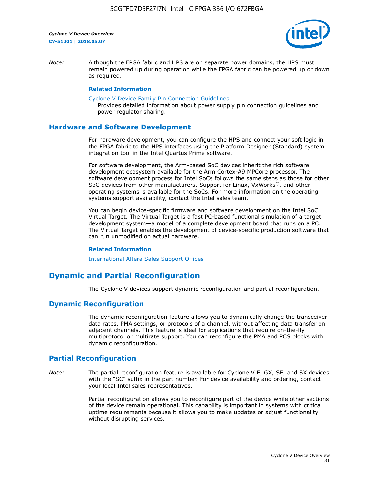

*Note:* Although the FPGA fabric and HPS are on separate power domains, the HPS must remain powered up during operation while the FPGA fabric can be powered up or down as required.

### **Related Information**

[Cyclone V Device Family Pin Connection Guidelines](https://www.altera.com/content/dam/altera-www/global/en_US/pdfs/literature/dp/cyclone-v/pcg-01014.pdf)

Provides detailed information about power supply pin connection guidelines and power regulator sharing.

### **Hardware and Software Development**

For hardware development, you can configure the HPS and connect your soft logic in the FPGA fabric to the HPS interfaces using the Platform Designer (Standard) system integration tool in the Intel Quartus Prime software.

For software development, the Arm-based SoC devices inherit the rich software development ecosystem available for the Arm Cortex-A9 MPCore processor. The software development process for Intel SoCs follows the same steps as those for other SoC devices from other manufacturers. Support for Linux, VxWorks®, and other operating systems is available for the SoCs. For more information on the operating systems support availability, contact the Intel sales team.

You can begin device-specific firmware and software development on the Intel SoC Virtual Target. The Virtual Target is a fast PC-based functional simulation of a target development system—a model of a complete development board that runs on a PC. The Virtual Target enables the development of device-specific production software that can run unmodified on actual hardware.

#### **Related Information**

[International Altera Sales Support Offices](https://www.altera.com/about/contact/contact/international-altera-sales-offices.html)

### **Dynamic and Partial Reconfiguration**

The Cyclone V devices support dynamic reconfiguration and partial reconfiguration.

### **Dynamic Reconfiguration**

The dynamic reconfiguration feature allows you to dynamically change the transceiver data rates, PMA settings, or protocols of a channel, without affecting data transfer on adjacent channels. This feature is ideal for applications that require on-the-fly multiprotocol or multirate support. You can reconfigure the PMA and PCS blocks with dynamic reconfiguration.

### **Partial Reconfiguration**

*Note:* The partial reconfiguration feature is available for Cyclone V E, GX, SE, and SX devices with the "SC" suffix in the part number. For device availability and ordering, contact your local Intel sales representatives.

> Partial reconfiguration allows you to reconfigure part of the device while other sections of the device remain operational. This capability is important in systems with critical uptime requirements because it allows you to make updates or adjust functionality without disrupting services.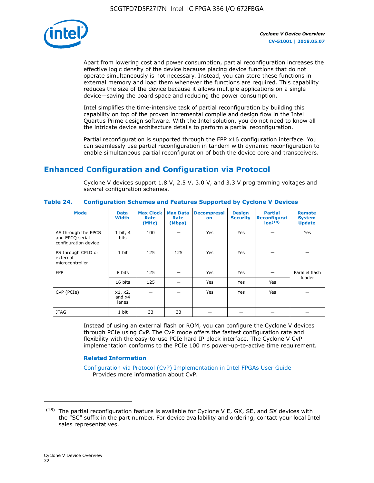

Apart from lowering cost and power consumption, partial reconfiguration increases the effective logic density of the device because placing device functions that do not operate simultaneously is not necessary. Instead, you can store these functions in external memory and load them whenever the functions are required. This capability reduces the size of the device because it allows multiple applications on a single device—saving the board space and reducing the power consumption.

Intel simplifies the time-intensive task of partial reconfiguration by building this capability on top of the proven incremental compile and design flow in the Intel Quartus Prime design software. With the Intel solution, you do not need to know all the intricate device architecture details to perform a partial reconfiguration.

Partial reconfiguration is supported through the FPP x16 configuration interface. You can seamlessly use partial reconfiguration in tandem with dynamic reconfiguration to enable simultaneous partial reconfiguration of both the device core and transceivers.

### **Enhanced Configuration and Configuration via Protocol**

Cyclone V devices support 1.8 V, 2.5 V, 3.0 V, and 3.3 V programming voltages and several configuration schemes.

| <b>Mode</b>                                                    | <b>Data</b><br>Width         | Max Clock  <br>Rate<br>(MHz) | <b>Max Data</b><br>Rate<br>(Mbps) | <b>Decompressi</b><br>on | <b>Design</b><br><b>Security</b> | <b>Partial</b><br><b>Reconfigurat</b><br>ion <sup>(18)</sup> | <b>Remote</b><br><b>System</b><br><b>Update</b> |
|----------------------------------------------------------------|------------------------------|------------------------------|-----------------------------------|--------------------------|----------------------------------|--------------------------------------------------------------|-------------------------------------------------|
| AS through the EPCS<br>and EPCQ serial<br>configuration device | 1 bit, 4<br>bits             | 100                          |                                   | Yes                      | <b>Yes</b>                       |                                                              | Yes                                             |
| PS through CPLD or<br>external<br>microcontroller              | 1 bit                        | 125                          | 125                               | Yes                      | Yes                              |                                                              |                                                 |
| <b>FPP</b>                                                     | 8 bits                       | 125                          |                                   | Yes                      | <b>Yes</b>                       |                                                              | Parallel flash                                  |
|                                                                | 16 bits                      | 125                          |                                   | Yes                      | <b>Yes</b>                       | Yes                                                          | loader                                          |
| CvP (PCIe)                                                     | x1, x2,<br>and $x4$<br>lanes |                              |                                   | Yes                      | <b>Yes</b>                       | Yes                                                          |                                                 |
| <b>JTAG</b>                                                    | 1 bit                        | 33                           | 33                                |                          |                                  |                                                              |                                                 |

**Table 24. Configuration Schemes and Features Supported by Cyclone V Devices**

Instead of using an external flash or ROM, you can configure the Cyclone V devices through PCIe using CvP. The CvP mode offers the fastest configuration rate and flexibility with the easy-to-use PCIe hard IP block interface. The Cyclone V CvP implementation conforms to the PCIe 100 ms power-up-to-active time requirement.

### **Related Information**

[Configuration via Protocol \(CvP\) Implementation in Intel FPGAs User Guide](https://www.altera.com/documentation/nik1412546950394.html#nik1412546833714) Provides more information about CvP.

 $(18)$  The partial reconfiguration feature is available for Cyclone V E, GX, SE, and SX devices with the "SC" suffix in the part number. For device availability and ordering, contact your local Intel sales representatives.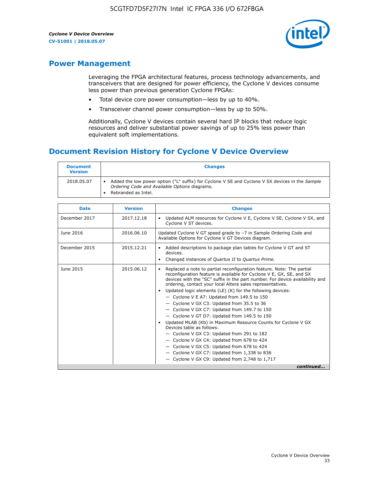

### **Power Management**

Leveraging the FPGA architectural features, process technology advancements, and transceivers that are designed for power efficiency, the Cyclone V devices consume less power than previous generation Cyclone FPGAs:

- Total device core power consumption—less by up to 40%.
- Transceiver channel power consumption—less by up to 50%.

Additionally, Cyclone V devices contain several hard IP blocks that reduce logic resources and deliver substantial power savings of up to 25% less power than equivalent soft implementations.

### **Document Revision History for Cyclone V Device Overview**

| <b>Document</b><br><b>Version</b> | <b>Changes</b>                                                                                                                                                          |
|-----------------------------------|-------------------------------------------------------------------------------------------------------------------------------------------------------------------------|
| 2018.05.07                        | Added the low power option ("L" suffix) for Cyclone V SE and Cyclone V SX devices in the Sample<br>Ordering Code and Available Options diagrams.<br>Rebranded as Intel. |

| <b>Date</b>   | <b>Version</b> | <b>Changes</b>                                                                                                                                                                                                                                                                                                                                                                                                                                                                                                                                                                                                                                                                                                                                                                                                                                                                                                    |
|---------------|----------------|-------------------------------------------------------------------------------------------------------------------------------------------------------------------------------------------------------------------------------------------------------------------------------------------------------------------------------------------------------------------------------------------------------------------------------------------------------------------------------------------------------------------------------------------------------------------------------------------------------------------------------------------------------------------------------------------------------------------------------------------------------------------------------------------------------------------------------------------------------------------------------------------------------------------|
| December 2017 | 2017.12.18     | Updated ALM resources for Cyclone V E, Cyclone V SE, Cyclone V SX, and<br>Cyclone V ST devices.                                                                                                                                                                                                                                                                                                                                                                                                                                                                                                                                                                                                                                                                                                                                                                                                                   |
| June 2016     | 2016.06.10     | Updated Cyclone V GT speed grade to -7 in Sample Ordering Code and<br>Available Options for Cyclone V GT Devices diagram.                                                                                                                                                                                                                                                                                                                                                                                                                                                                                                                                                                                                                                                                                                                                                                                         |
| December 2015 | 2015.12.21     | Added descriptions to package plan tables for Cyclone V GT and ST<br>devices.<br>Changed instances of Quartus II to Quartus Prime.<br>$\bullet$                                                                                                                                                                                                                                                                                                                                                                                                                                                                                                                                                                                                                                                                                                                                                                   |
| June 2015     | 2015.06.12     | Replaced a note to partial reconfiguration feature. Note: The partial<br>reconfiguration feature is available for Cyclone V E, GX, SE, and SX<br>devices with the "SC" suffix in the part number. For device availability and<br>ordering, contact your local Altera sales representatives.<br>Updated logic elements (LE) (K) for the following devices:<br>$\bullet$<br>$-$ Cyclone V E A7: Updated from 149.5 to 150<br>- Cyclone V GX C3: Updated from 35.5 to 36<br>- Cyclone V GX C7: Updated from 149.7 to 150<br>- Cyclone V GT D7: Updated from 149.5 to 150<br>Updated MLAB (Kb) in Maximum Resource Counts for Cyclone V GX<br>Devices table as follows:<br>- Cyclone V GX C3: Updated from 291 to 182<br>- Cyclone V GX C4: Updated from 678 to 424<br>- Cyclone V GX C5: Updated from 678 to 424<br>- Cyclone V GX C7: Updated from 1,338 to 836<br>$-$ Cyclone V GX C9: Updated from 2,748 to 1,717 |
|               |                | continued                                                                                                                                                                                                                                                                                                                                                                                                                                                                                                                                                                                                                                                                                                                                                                                                                                                                                                         |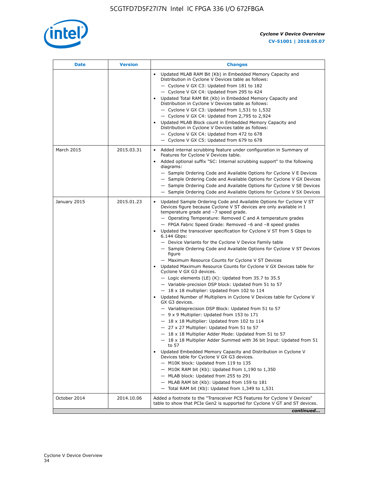

| <b>Date</b>  | <b>Version</b> | <b>Changes</b>                                                                                                                                                                                                                                                                                                                                                                                                                                                                                                                                                                                                                                                                                                                                                                                                                                                                                                                                                                                                                                                                                                                                                                                                                                                                                                                                                                                                                                                                                                                                                                                                                                                                                                  |
|--------------|----------------|-----------------------------------------------------------------------------------------------------------------------------------------------------------------------------------------------------------------------------------------------------------------------------------------------------------------------------------------------------------------------------------------------------------------------------------------------------------------------------------------------------------------------------------------------------------------------------------------------------------------------------------------------------------------------------------------------------------------------------------------------------------------------------------------------------------------------------------------------------------------------------------------------------------------------------------------------------------------------------------------------------------------------------------------------------------------------------------------------------------------------------------------------------------------------------------------------------------------------------------------------------------------------------------------------------------------------------------------------------------------------------------------------------------------------------------------------------------------------------------------------------------------------------------------------------------------------------------------------------------------------------------------------------------------------------------------------------------------|
|              |                | Updated MLAB RAM Bit (Kb) in Embedded Memory Capacity and<br>Distribution in Cyclone V Devices table as follows:<br>- Cyclone V GX C3: Updated from 181 to 182<br>- Cyclone V GX C4: Updated from 295 to 424<br>Updated Total RAM Bit (Kb) in Embedded Memory Capacity and<br>Distribution in Cyclone V Devices table as follows:<br>$-$ Cyclone V GX C3: Updated from 1,531 to 1,532<br>- Cyclone V GX C4: Updated from 2,795 to 2,924<br>Updated MLAB Block count in Embedded Memory Capacity and<br>Distribution in Cyclone V Devices table as follows:<br>- Cyclone V GX C4: Updated from 472 to 678<br>- Cyclone V GX C5: Updated from 679 to 678                                                                                                                                                                                                                                                                                                                                                                                                                                                                                                                                                                                                                                                                                                                                                                                                                                                                                                                                                                                                                                                          |
| March 2015   | 2015.03.31     | Added internal scrubbing feature under configuration in Summary of<br>$\bullet$<br>Features for Cyclone V Devices table.<br>Added optional suffix "SC: Internal scrubbing support" to the following<br>diagrams:<br>- Sample Ordering Code and Available Options for Cyclone V E Devices<br>- Sample Ordering Code and Available Options for Cyclone V GX Devices<br>- Sample Ordering Code and Available Options for Cyclone V SE Devices<br>- Sample Ordering Code and Available Options for Cyclone V SX Devices                                                                                                                                                                                                                                                                                                                                                                                                                                                                                                                                                                                                                                                                                                                                                                                                                                                                                                                                                                                                                                                                                                                                                                                             |
| January 2015 | 2015.01.23     | Updated Sample Ordering Code and Available Options for Cyclone V ST<br>Devices figure because Cyclone V ST devices are only available in I<br>temperature grade and -7 speed grade.<br>- Operating Temperature: Removed C and A temperature grades<br>- FPGA Fabric Speed Grade: Removed -6 and -8 speed grades<br>Updated the transceiver specification for Cyclone V ST from 5 Gbps to<br>6.144 Gbps:<br>- Device Variants for the Cyclone V Device Family table<br>- Sample Ordering Code and Available Options for Cyclone V ST Devices<br>figure<br>- Maximum Resource Counts for Cyclone V ST Devices<br>Updated Maximum Resource Counts for Cyclone V GX Devices table for<br>Cyclone V GX G3 devices.<br>$-$ Logic elements (LE) (K): Updated from 35.7 to 35.5<br>- Variable-precision DSP block: Updated from 51 to 57<br>$-18 \times 18$ multiplier: Updated from 102 to 114<br>Updated Number of Multipliers in Cyclone V Devices table for Cyclone V<br>GX G3 devices.<br>- Variableprecision DSP Block: Updated from 51 to 57<br>$-9x9$ Multiplier: Updated from 153 to 171<br>$-18 \times 18$ Multiplier: Updated from 102 to 114<br>- 27 x 27 Multiplier: Updated from 51 to 57<br>- 18 x 18 Multiplier Adder Mode: Updated from 51 to 57<br>$-18 \times 18$ Multiplier Adder Summed with 36 bit Input: Updated from 51<br>to 57<br>Updated Embedded Memory Capacity and Distribution in Cyclone V<br>Devices table for Cyclone V GX G3 devices.<br>- M10K block: Updated from 119 to 135<br>$-$ M10K RAM bit (Kb): Updated from 1,190 to 1,350<br>- MLAB block: Updated from 255 to 291<br>- MLAB RAM bit (Kb): Updated from 159 to 181<br>$-$ Total RAM bit (Kb): Updated from 1,349 to 1,531 |
| October 2014 | 2014.10.06     | Added a footnote to the "Transceiver PCS Features for Cyclone V Devices"<br>table to show that PCIe Gen2 is supported for Cyclone V GT and ST devices.                                                                                                                                                                                                                                                                                                                                                                                                                                                                                                                                                                                                                                                                                                                                                                                                                                                                                                                                                                                                                                                                                                                                                                                                                                                                                                                                                                                                                                                                                                                                                          |
|              |                | continued                                                                                                                                                                                                                                                                                                                                                                                                                                                                                                                                                                                                                                                                                                                                                                                                                                                                                                                                                                                                                                                                                                                                                                                                                                                                                                                                                                                                                                                                                                                                                                                                                                                                                                       |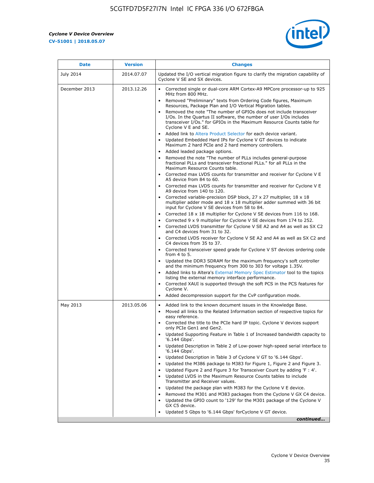r



| <b>Date</b>   | <b>Version</b> | <b>Changes</b>                                                                                                                                                                                                                           |
|---------------|----------------|------------------------------------------------------------------------------------------------------------------------------------------------------------------------------------------------------------------------------------------|
| July 2014     | 2014.07.07     | Updated the I/O vertical migration figure to clarify the migration capability of<br>Cyclone V SE and SX devices.                                                                                                                         |
| December 2013 | 2013.12.26     | Corrected single or dual-core ARM Cortex-A9 MPCore processor-up to 925<br>MHz from 800 MHz.                                                                                                                                              |
|               |                | Removed "Preliminary" texts from Ordering Code figures, Maximum<br>Resources, Package Plan and I/O Vertical Migration tables.                                                                                                            |
|               |                | Removed the note "The number of GPIOs does not include transceiver<br>I/Os. In the Quartus II software, the number of user I/Os includes<br>transceiver I/Os." for GPIOs in the Maximum Resource Counts table for<br>Cyclone V E and SE. |
|               |                | Added link to Altera Product Selector for each device variant.<br>Updated Embedded Hard IPs for Cyclone V GT devices to indicate<br>$\bullet$<br>Maximum 2 hard PCIe and 2 hard memory controllers.                                      |
|               |                | • Added leaded package options.<br>Removed the note "The number of PLLs includes general-purpose<br>fractional PLLs and transceiver fractional PLLs." for all PLLs in the<br>Maximum Resource Counts table.                              |
|               |                | • Corrected max LVDS counts for transmitter and receiver for Cyclone V E<br>A5 device from 84 to 60.                                                                                                                                     |
|               |                | • Corrected max LVDS counts for transmitter and receiver for Cyclone V E<br>A9 device from 140 to 120.                                                                                                                                   |
|               |                | Corrected variable-precision DSP block, 27 x 27 multiplier, 18 x 18<br>multiplier adder mode and $18 \times 18$ multiplier adder summed with 36 bit<br>input for Cyclone V SE devices from 58 to 84.                                     |
|               |                | Corrected $18 \times 18$ multiplier for Cyclone V SE devices from 116 to 168.<br>Corrected 9 x 9 multiplier for Cyclone V SE devices from 174 to 252.                                                                                    |
|               |                | • Corrected LVDS transmitter for Cyclone V SE A2 and A4 as well as SX C2<br>and C4 devices from 31 to 32.                                                                                                                                |
|               |                | • Corrected LVDS receiver for Cyclone V SE A2 and A4 as well as SX C2 and<br>C4 devices from 35 to 37.                                                                                                                                   |
|               |                | • Corrected transceiver speed grade for Cyclone V ST devices ordering code<br>from 4 to 5.                                                                                                                                               |
|               |                | Updated the DDR3 SDRAM for the maximum frequency's soft controller<br>and the minimum frequency from 300 to 303 for voltage 1.35V.                                                                                                       |
|               |                | Added links to Altera's External Memory Spec Estimator tool to the topics<br>listing the external memory interface performance.                                                                                                          |
|               |                | • Corrected XAUI is supported through the soft PCS in the PCS features for<br>Cyclone V.<br>Added decompression support for the CvP configuration mode.                                                                                  |
|               |                |                                                                                                                                                                                                                                          |
| May 2013      | 2013.05.06     | Added link to the known document issues in the Knowledge Base.<br>$\bullet$<br>Moved all links to the Related Information section of respective topics for<br>$\bullet$<br>easy reference.                                               |
|               |                | • Corrected the title to the PCIe hard IP topic. Cyclone V devices support<br>only PCIe Gen1 and Gen2.                                                                                                                                   |
|               |                | • Updated Supporting Feature in Table 1 of Increased bandwidth capacity to<br>'6.144 Gbps'.                                                                                                                                              |
|               |                | Updated Description in Table 2 of Low-power high-speed serial interface to<br>'6.144 Gbps'.                                                                                                                                              |
|               |                | Updated Description in Table 3 of Cyclone V GT to '6.144 Gbps'.<br>Updated the M386 package to M383 for Figure 1, Figure 2 and Figure 3.<br>$\bullet$                                                                                    |
|               |                | Updated Figure 2 and Figure 3 for Transceiver Count by adding 'F : 4'.<br>$\bullet$                                                                                                                                                      |
|               |                | Updated LVDS in the Maximum Resource Counts tables to include<br>Transmitter and Receiver values.                                                                                                                                        |
|               |                | Updated the package plan with M383 for the Cyclone V E device.<br>$\bullet$                                                                                                                                                              |
|               |                | Removed the M301 and M383 packages from the Cyclone V GX C4 device.<br>Updated the GPIO count to '129' for the M301 package of the Cyclone V<br>GX C5 device.                                                                            |
|               |                | Updated 5 Gbps to '6.144 Gbps' for Cyclone V GT device.                                                                                                                                                                                  |
|               |                | continued                                                                                                                                                                                                                                |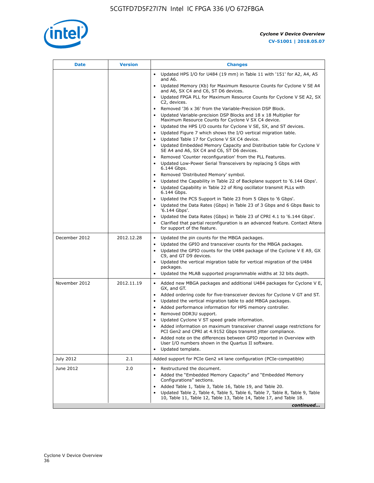

| Date          | <b>Version</b> | <b>Changes</b>                                                                                                                                                                                                                                                                                                                                                                                                                                                                                                                                                                                                                                                                                                                                                                                                                                                                                                                                |
|---------------|----------------|-----------------------------------------------------------------------------------------------------------------------------------------------------------------------------------------------------------------------------------------------------------------------------------------------------------------------------------------------------------------------------------------------------------------------------------------------------------------------------------------------------------------------------------------------------------------------------------------------------------------------------------------------------------------------------------------------------------------------------------------------------------------------------------------------------------------------------------------------------------------------------------------------------------------------------------------------|
|               |                | Updated HPS I/O for U484 (19 mm) in Table 11 with '151' for A2, A4, A5<br>$\bullet$<br>and A6.                                                                                                                                                                                                                                                                                                                                                                                                                                                                                                                                                                                                                                                                                                                                                                                                                                                |
|               |                | Updated Memory (Kb) for Maximum Resource Counts for Cyclone V SE A4<br>and A6, SX C4 and C6, ST D6 devices.                                                                                                                                                                                                                                                                                                                                                                                                                                                                                                                                                                                                                                                                                                                                                                                                                                   |
|               |                | Updated FPGA PLL for Maximum Resource Counts for Cyclone V SE A2, SX<br>C2, devices.                                                                                                                                                                                                                                                                                                                                                                                                                                                                                                                                                                                                                                                                                                                                                                                                                                                          |
|               |                | Removed '36 x 36' from the Variable-Precision DSP Block.<br>Updated Variable-precision DSP Blocks and 18 x 18 Multiplier for<br>Maximum Resource Counts for Cyclone V SX C4 device.<br>Updated the HPS I/O counts for Cyclone V SE, SX, and ST devices.<br>Updated Figure 7 which shows the I/O vertical migration table.<br>Updated Table 17 for Cyclone V SX C4 device.<br>$\bullet$<br>• Updated Embedded Memory Capacity and Distribution table for Cyclone V<br>SE A4 and A6, SX C4 and C6, ST D6 devices.<br>• Removed 'Counter reconfiguration' from the PLL Features.<br>Updated Low-Power Serial Transceivers by replacing 5 Gbps with<br>6.144 Gbps.<br>• Removed 'Distributed Memory' symbol.<br>Updated the Capability in Table 22 of Backplane support to '6.144 Gbps'.<br>• Updated Capability in Table 22 of Ring oscillator transmit PLLs with<br>6.144 Gbps.<br>Updated the PCS Support in Table 23 from 5 Gbps to '6 Gbps'. |
|               |                | Updated the Data Rates (Gbps) in Table 23 of 3 Gbps and 6 Gbps Basic to<br>'6.144 Gbps'.                                                                                                                                                                                                                                                                                                                                                                                                                                                                                                                                                                                                                                                                                                                                                                                                                                                      |
|               |                | Updated the Data Rates (Gbps) in Table 23 of CPRI 4.1 to '6.144 Gbps'.<br>Clarified that partial reconfiguration is an advanced feature. Contact Altera<br>for support of the feature.                                                                                                                                                                                                                                                                                                                                                                                                                                                                                                                                                                                                                                                                                                                                                        |
| December 2012 | 2012.12.28     | Updated the pin counts for the MBGA packages.<br>$\bullet$<br>Updated the GPIO and transceiver counts for the MBGA packages.<br>Updated the GPIO counts for the U484 package of the Cyclone V E A9, GX<br>C9, and GT D9 devices.<br>• Updated the vertical migration table for vertical migration of the U484<br>packages.<br>Updated the MLAB supported programmable widths at 32 bits depth.                                                                                                                                                                                                                                                                                                                                                                                                                                                                                                                                                |
| November 2012 | 2012.11.19     | • Added new MBGA packages and additional U484 packages for Cyclone V E,<br>GX, and GT.<br>• Added ordering code for five-transceiver devices for Cyclone V GT and ST.<br>Updated the vertical migration table to add MBGA packages.<br>٠<br>Added performance information for HPS memory controller.<br>$\bullet$<br>Removed DDR3U support.<br>$\bullet$<br>Updated Cyclone V ST speed grade information.<br>Added information on maximum transceiver channel usage restrictions for<br>PCI Gen2 and CPRI at 4.9152 Gbps transmit jitter compliance.<br>Added note on the differences between GPIO reported in Overview with<br>User I/O numbers shown in the Quartus II software.<br>Updated template.                                                                                                                                                                                                                                       |
| July 2012     | 2.1            | Added support for PCIe Gen2 x4 lane configuration (PCIe-compatible)                                                                                                                                                                                                                                                                                                                                                                                                                                                                                                                                                                                                                                                                                                                                                                                                                                                                           |
| June 2012     | 2.0            | Restructured the document.<br>٠<br>Added the "Embedded Memory Capacity" and "Embedded Memory<br>Configurations" sections.<br>Added Table 1, Table 3, Table 16, Table 19, and Table 20.<br>$\bullet$<br>Updated Table 2, Table 4, Table 5, Table 6, Table 7, Table 8, Table 9, Table<br>10, Table 11, Table 12, Table 13, Table 14, Table 17, and Table 18.                                                                                                                                                                                                                                                                                                                                                                                                                                                                                                                                                                                    |
|               |                | continued                                                                                                                                                                                                                                                                                                                                                                                                                                                                                                                                                                                                                                                                                                                                                                                                                                                                                                                                     |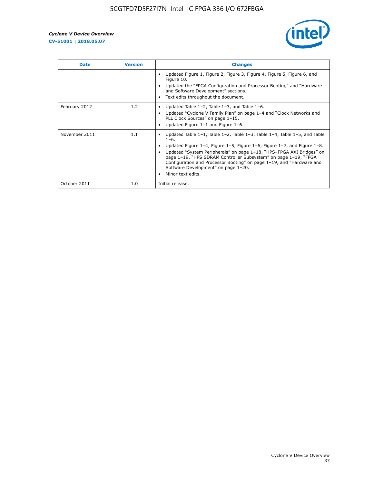

| <b>Date</b>   | <b>Version</b> | <b>Changes</b>                                                                                                                                                                                                                                                                                                                                                                                                                                                                          |
|---------------|----------------|-----------------------------------------------------------------------------------------------------------------------------------------------------------------------------------------------------------------------------------------------------------------------------------------------------------------------------------------------------------------------------------------------------------------------------------------------------------------------------------------|
|               |                | Updated Figure 1, Figure 2, Figure 3, Figure 4, Figure 5, Figure 6, and<br>Figure 10.<br>Updated the "FPGA Configuration and Processor Booting" and "Hardware"<br>and Software Development" sections.<br>Text edits throughout the document.                                                                                                                                                                                                                                            |
| February 2012 | 1.2            | Updated Table $1-2$ , Table $1-3$ , and Table $1-6$ .<br>Updated "Cyclone V Family Plan" on page 1-4 and "Clock Networks and<br>PLL Clock Sources" on page 1-15.<br>Updated Figure 1-1 and Figure 1-6.                                                                                                                                                                                                                                                                                  |
| November 2011 | 1.1            | Updated Table $1-1$ , Table $1-2$ , Table $1-3$ , Table $1-4$ , Table $1-5$ , and Table<br>$1 - 6.$<br>Updated Figure 1–4, Figure 1–5, Figure 1–6, Figure 1–7, and Figure 1–8.<br>Updated "System Peripherals" on page 1-18, "HPS-FPGA AXI Bridges" on<br>$\bullet$<br>page 1-19, "HPS SDRAM Controller Subsystem" on page 1-19, "FPGA<br>Configuration and Processor Booting" on page 1-19, and "Hardware and<br>Software Development" on page 1-20.<br>Minor text edits.<br>$\bullet$ |
| October 2011  | 1.0            | Initial release.                                                                                                                                                                                                                                                                                                                                                                                                                                                                        |